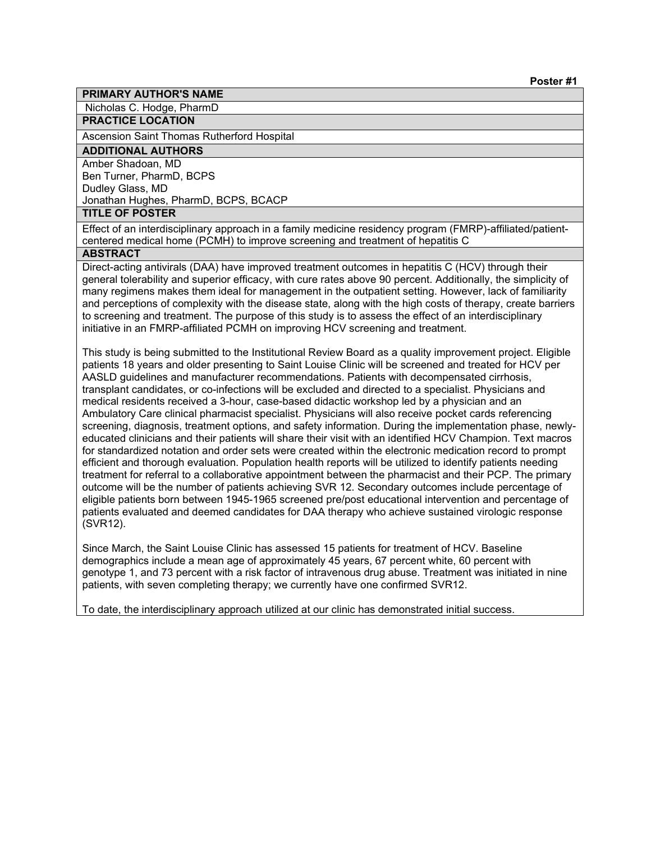Nicholas C. Hodge, PharmD

# **PRACTICE LOCATION**

Ascension Saint Thomas Rutherford Hospital

# **ADDITIONAL AUTHORS**

Amber Shadoan, MD Ben Turner, PharmD, BCPS Dudley Glass, MD Jonathan Hughes, PharmD, BCPS, BCACP

# **TITLE OF POSTER**

Effect of an interdisciplinary approach in a family medicine residency program (FMRP)-affiliated/patientcentered medical home (PCMH) to improve screening and treatment of hepatitis C

# **ABSTRACT**

Direct-acting antivirals (DAA) have improved treatment outcomes in hepatitis C (HCV) through their general tolerability and superior efficacy, with cure rates above 90 percent. Additionally, the simplicity of many regimens makes them ideal for management in the outpatient setting. However, lack of familiarity and perceptions of complexity with the disease state, along with the high costs of therapy, create barriers to screening and treatment. The purpose of this study is to assess the effect of an interdisciplinary initiative in an FMRP-affiliated PCMH on improving HCV screening and treatment.

This study is being submitted to the Institutional Review Board as a quality improvement project. Eligible patients 18 years and older presenting to Saint Louise Clinic will be screened and treated for HCV per AASLD guidelines and manufacturer recommendations. Patients with decompensated cirrhosis, transplant candidates, or co-infections will be excluded and directed to a specialist. Physicians and medical residents received a 3-hour, case-based didactic workshop led by a physician and an Ambulatory Care clinical pharmacist specialist. Physicians will also receive pocket cards referencing screening, diagnosis, treatment options, and safety information. During the implementation phase, newlyeducated clinicians and their patients will share their visit with an identified HCV Champion. Text macros for standardized notation and order sets were created within the electronic medication record to prompt efficient and thorough evaluation. Population health reports will be utilized to identify patients needing treatment for referral to a collaborative appointment between the pharmacist and their PCP. The primary outcome will be the number of patients achieving SVR 12. Secondary outcomes include percentage of eligible patients born between 1945-1965 screened pre/post educational intervention and percentage of patients evaluated and deemed candidates for DAA therapy who achieve sustained virologic response (SVR12).

Since March, the Saint Louise Clinic has assessed 15 patients for treatment of HCV. Baseline demographics include a mean age of approximately 45 years, 67 percent white, 60 percent with genotype 1, and 73 percent with a risk factor of intravenous drug abuse. Treatment was initiated in nine patients, with seven completing therapy; we currently have one confirmed SVR12.

To date, the interdisciplinary approach utilized at our clinic has demonstrated initial success.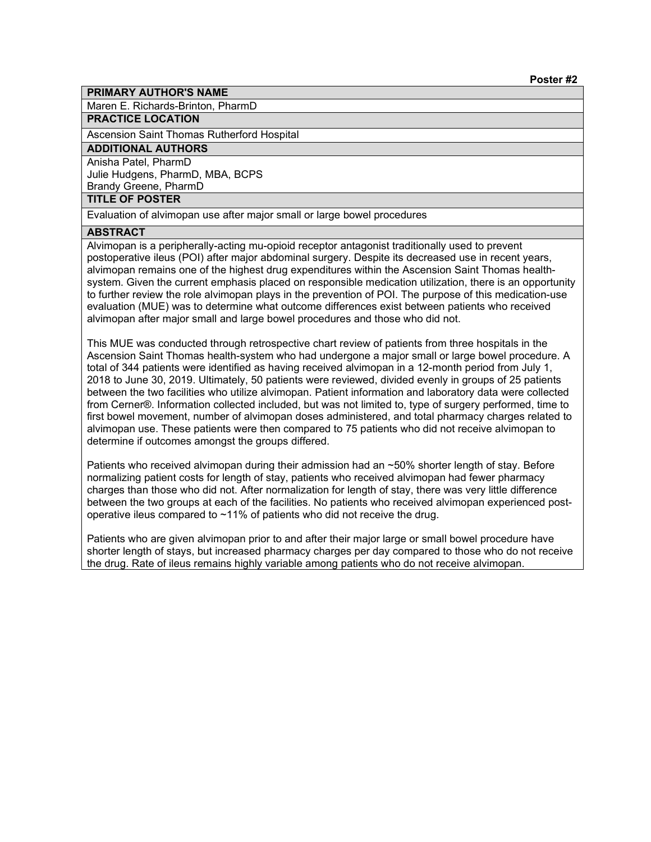Maren E. Richards-Brinton, PharmD

#### **PRACTICE LOCATION**

Ascension Saint Thomas Rutherford Hospital

# **ADDITIONAL AUTHORS**

Anisha Patel, PharmD Julie Hudgens, PharmD, MBA, BCPS Brandy Greene, PharmD

# **TITLE OF POSTER**

Evaluation of alvimopan use after major small or large bowel procedures

#### **ABSTRACT**

Alvimopan is a peripherally-acting mu-opioid receptor antagonist traditionally used to prevent postoperative ileus (POI) after major abdominal surgery. Despite its decreased use in recent years, alvimopan remains one of the highest drug expenditures within the Ascension Saint Thomas healthsystem. Given the current emphasis placed on responsible medication utilization, there is an opportunity to further review the role alvimopan plays in the prevention of POI. The purpose of this medication-use evaluation (MUE) was to determine what outcome differences exist between patients who received alvimopan after major small and large bowel procedures and those who did not.

This MUE was conducted through retrospective chart review of patients from three hospitals in the Ascension Saint Thomas health-system who had undergone a major small or large bowel procedure. A total of 344 patients were identified as having received alvimopan in a 12-month period from July 1, 2018 to June 30, 2019. Ultimately, 50 patients were reviewed, divided evenly in groups of 25 patients between the two facilities who utilize alvimopan. Patient information and laboratory data were collected from Cerner®. Information collected included, but was not limited to, type of surgery performed, time to first bowel movement, number of alvimopan doses administered, and total pharmacy charges related to alvimopan use. These patients were then compared to 75 patients who did not receive alvimopan to determine if outcomes amongst the groups differed.

Patients who received alvimopan during their admission had an ~50% shorter length of stay. Before normalizing patient costs for length of stay, patients who received alvimopan had fewer pharmacy charges than those who did not. After normalization for length of stay, there was very little difference between the two groups at each of the facilities. No patients who received alvimopan experienced postoperative ileus compared to ~11% of patients who did not receive the drug.

Patients who are given alvimopan prior to and after their major large or small bowel procedure have shorter length of stays, but increased pharmacy charges per day compared to those who do not receive the drug. Rate of ileus remains highly variable among patients who do not receive alvimopan.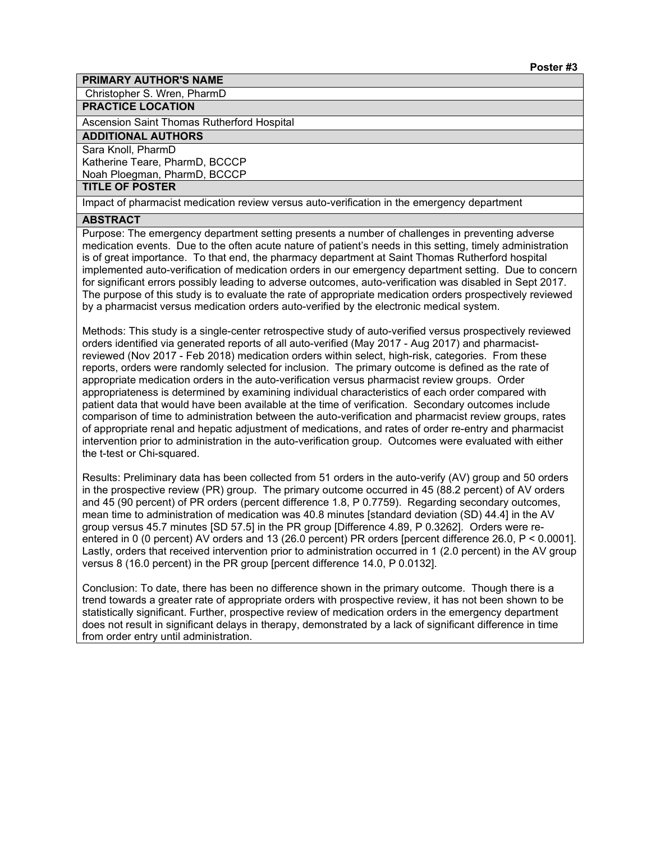Christopher S. Wren, PharmD

# **PRACTICE LOCATION**

Ascension Saint Thomas Rutherford Hospital

# **ADDITIONAL AUTHORS**

Sara Knoll, PharmD

Katherine Teare, PharmD, BCCCP Noah Ploegman, PharmD, BCCCP

#### **TITLE OF POSTER**

Impact of pharmacist medication review versus auto-verification in the emergency department

#### **ABSTRACT**

Purpose: The emergency department setting presents a number of challenges in preventing adverse medication events. Due to the often acute nature of patient's needs in this setting, timely administration is of great importance. To that end, the pharmacy department at Saint Thomas Rutherford hospital implemented auto-verification of medication orders in our emergency department setting. Due to concern for significant errors possibly leading to adverse outcomes, auto-verification was disabled in Sept 2017. The purpose of this study is to evaluate the rate of appropriate medication orders prospectively reviewed by a pharmacist versus medication orders auto-verified by the electronic medical system.

Methods: This study is a single-center retrospective study of auto-verified versus prospectively reviewed orders identified via generated reports of all auto-verified (May 2017 - Aug 2017) and pharmacistreviewed (Nov 2017 - Feb 2018) medication orders within select, high-risk, categories. From these reports, orders were randomly selected for inclusion. The primary outcome is defined as the rate of appropriate medication orders in the auto-verification versus pharmacist review groups. Order appropriateness is determined by examining individual characteristics of each order compared with patient data that would have been available at the time of verification. Secondary outcomes include comparison of time to administration between the auto-verification and pharmacist review groups, rates of appropriate renal and hepatic adjustment of medications, and rates of order re-entry and pharmacist intervention prior to administration in the auto-verification group. Outcomes were evaluated with either the t-test or Chi-squared.

Results: Preliminary data has been collected from 51 orders in the auto-verify (AV) group and 50 orders in the prospective review (PR) group. The primary outcome occurred in 45 (88.2 percent) of AV orders and 45 (90 percent) of PR orders (percent difference 1.8, P 0.7759). Regarding secondary outcomes, mean time to administration of medication was 40.8 minutes [standard deviation (SD) 44.4] in the AV group versus 45.7 minutes [SD 57.5] in the PR group [Difference 4.89, P 0.3262]. Orders were reentered in 0 (0 percent) AV orders and 13 (26.0 percent) PR orders [percent difference 26.0, P < 0.0001]. Lastly, orders that received intervention prior to administration occurred in 1 (2.0 percent) in the AV group versus 8 (16.0 percent) in the PR group [percent difference 14.0, P 0.0132].

Conclusion: To date, there has been no difference shown in the primary outcome. Though there is a trend towards a greater rate of appropriate orders with prospective review, it has not been shown to be statistically significant. Further, prospective review of medication orders in the emergency department does not result in significant delays in therapy, demonstrated by a lack of significant difference in time from order entry until administration.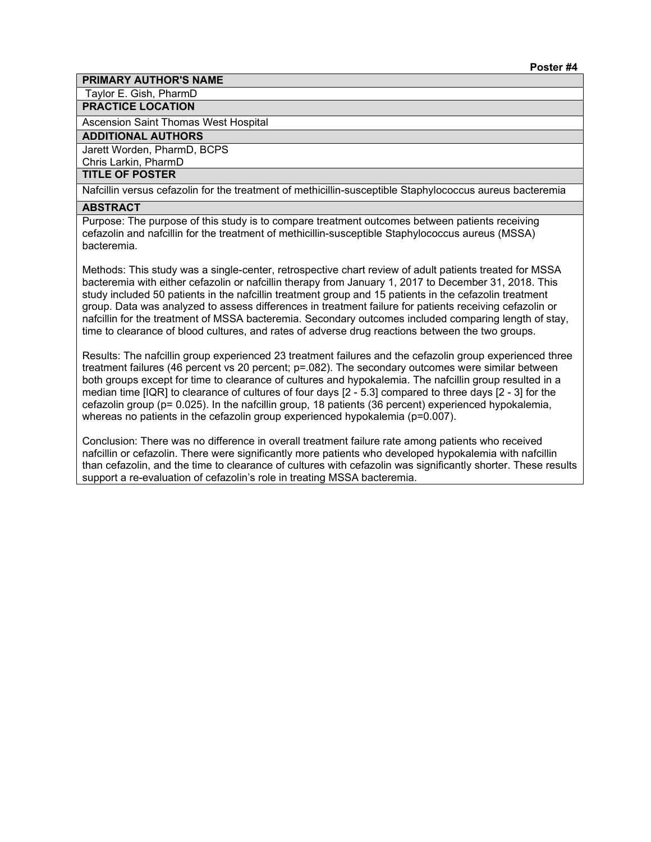Taylor E. Gish, PharmD

### **PRACTICE LOCATION**

Ascension Saint Thomas West Hospital

#### **ADDITIONAL AUTHORS**

Jarett Worden, PharmD, BCPS

Chris Larkin, PharmD

# **TITLE OF POSTER**

Nafcillin versus cefazolin for the treatment of methicillin-susceptible Staphylococcus aureus bacteremia

#### **ABSTRACT**

Purpose: The purpose of this study is to compare treatment outcomes between patients receiving cefazolin and nafcillin for the treatment of methicillin-susceptible Staphylococcus aureus (MSSA) bacteremia.

Methods: This study was a single-center, retrospective chart review of adult patients treated for MSSA bacteremia with either cefazolin or nafcillin therapy from January 1, 2017 to December 31, 2018. This study included 50 patients in the nafcillin treatment group and 15 patients in the cefazolin treatment group. Data was analyzed to assess differences in treatment failure for patients receiving cefazolin or nafcillin for the treatment of MSSA bacteremia. Secondary outcomes included comparing length of stay, time to clearance of blood cultures, and rates of adverse drug reactions between the two groups.

Results: The nafcillin group experienced 23 treatment failures and the cefazolin group experienced three treatment failures (46 percent vs 20 percent; p=.082). The secondary outcomes were similar between both groups except for time to clearance of cultures and hypokalemia. The nafcillin group resulted in a median time [IQR] to clearance of cultures of four days [2 - 5.3] compared to three days [2 - 3] for the cefazolin group (p= 0.025). In the nafcillin group, 18 patients (36 percent) experienced hypokalemia, whereas no patients in the cefazolin group experienced hypokalemia ( $p=0.007$ ).

Conclusion: There was no difference in overall treatment failure rate among patients who received nafcillin or cefazolin. There were significantly more patients who developed hypokalemia with nafcillin than cefazolin, and the time to clearance of cultures with cefazolin was significantly shorter. These results support a re-evaluation of cefazolin's role in treating MSSA bacteremia.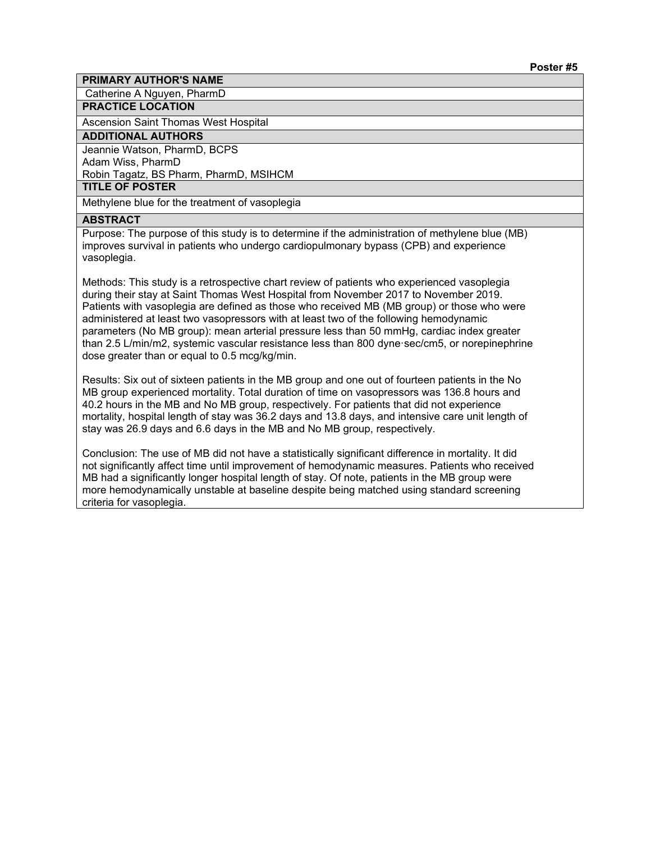Catherine A Nguyen, PharmD

# **PRACTICE LOCATION**

Ascension Saint Thomas West Hospital

#### **ADDITIONAL AUTHORS**

Jeannie Watson, PharmD, BCPS Adam Wiss, PharmD Robin Tagatz, BS Pharm, PharmD, MSIHCM

**TITLE OF POSTER**

Methylene blue for the treatment of vasoplegia

#### **ABSTRACT**

Purpose: The purpose of this study is to determine if the administration of methylene blue (MB) improves survival in patients who undergo cardiopulmonary bypass (CPB) and experience vasoplegia.

Methods: This study is a retrospective chart review of patients who experienced vasoplegia during their stay at Saint Thomas West Hospital from November 2017 to November 2019. Patients with vasoplegia are defined as those who received MB (MB group) or those who were administered at least two vasopressors with at least two of the following hemodynamic parameters (No MB group): mean arterial pressure less than 50 mmHg, cardiac index greater than 2.5 L/min/m2, systemic vascular resistance less than 800 dyne·sec/cm5, or norepinephrine dose greater than or equal to 0.5 mcg/kg/min.

Results: Six out of sixteen patients in the MB group and one out of fourteen patients in the No MB group experienced mortality. Total duration of time on vasopressors was 136.8 hours and 40.2 hours in the MB and No MB group, respectively. For patients that did not experience mortality, hospital length of stay was 36.2 days and 13.8 days, and intensive care unit length of stay was 26.9 days and 6.6 days in the MB and No MB group, respectively.

Conclusion: The use of MB did not have a statistically significant difference in mortality. It did not significantly affect time until improvement of hemodynamic measures. Patients who received MB had a significantly longer hospital length of stay. Of note, patients in the MB group were more hemodynamically unstable at baseline despite being matched using standard screening criteria for vasoplegia.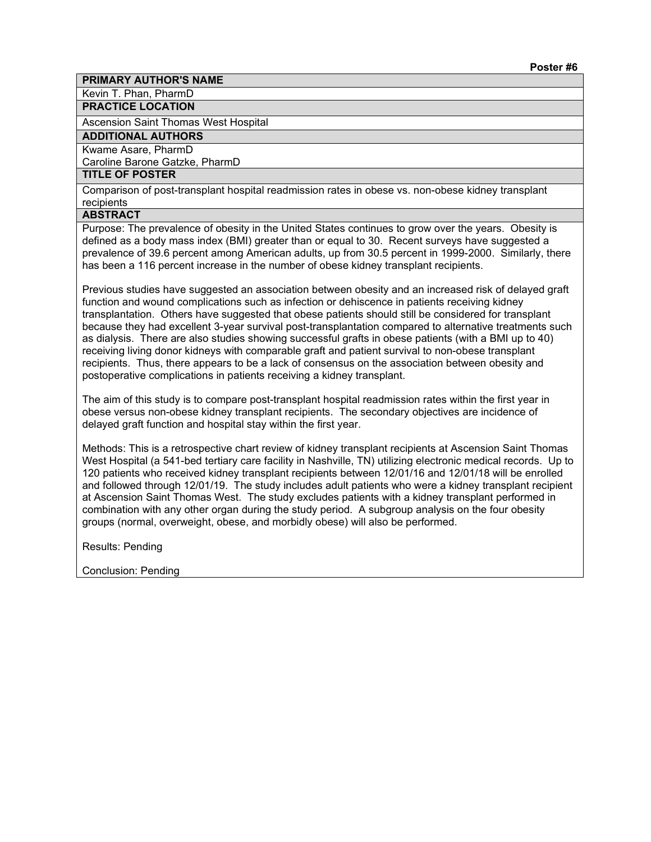Kevin T. Phan, PharmD

**PRACTICE LOCATION**

Ascension Saint Thomas West Hospital

**ADDITIONAL AUTHORS**

Kwame Asare, PharmD

Caroline Barone Gatzke, PharmD

# **TITLE OF POSTER**

Comparison of post-transplant hospital readmission rates in obese vs. non-obese kidney transplant recipients

# **ABSTRACT**

Purpose: The prevalence of obesity in the United States continues to grow over the years. Obesity is defined as a body mass index (BMI) greater than or equal to 30. Recent surveys have suggested a prevalence of 39.6 percent among American adults, up from 30.5 percent in 1999-2000. Similarly, there has been a 116 percent increase in the number of obese kidney transplant recipients.

Previous studies have suggested an association between obesity and an increased risk of delayed graft function and wound complications such as infection or dehiscence in patients receiving kidney transplantation. Others have suggested that obese patients should still be considered for transplant because they had excellent 3-year survival post-transplantation compared to alternative treatments such as dialysis. There are also studies showing successful grafts in obese patients (with a BMI up to 40) receiving living donor kidneys with comparable graft and patient survival to non-obese transplant recipients. Thus, there appears to be a lack of consensus on the association between obesity and postoperative complications in patients receiving a kidney transplant.

The aim of this study is to compare post-transplant hospital readmission rates within the first year in obese versus non-obese kidney transplant recipients. The secondary objectives are incidence of delayed graft function and hospital stay within the first year.

Methods: This is a retrospective chart review of kidney transplant recipients at Ascension Saint Thomas West Hospital (a 541-bed tertiary care facility in Nashville, TN) utilizing electronic medical records. Up to 120 patients who received kidney transplant recipients between 12/01/16 and 12/01/18 will be enrolled and followed through 12/01/19. The study includes adult patients who were a kidney transplant recipient at Ascension Saint Thomas West. The study excludes patients with a kidney transplant performed in combination with any other organ during the study period. A subgroup analysis on the four obesity groups (normal, overweight, obese, and morbidly obese) will also be performed.

Results: Pending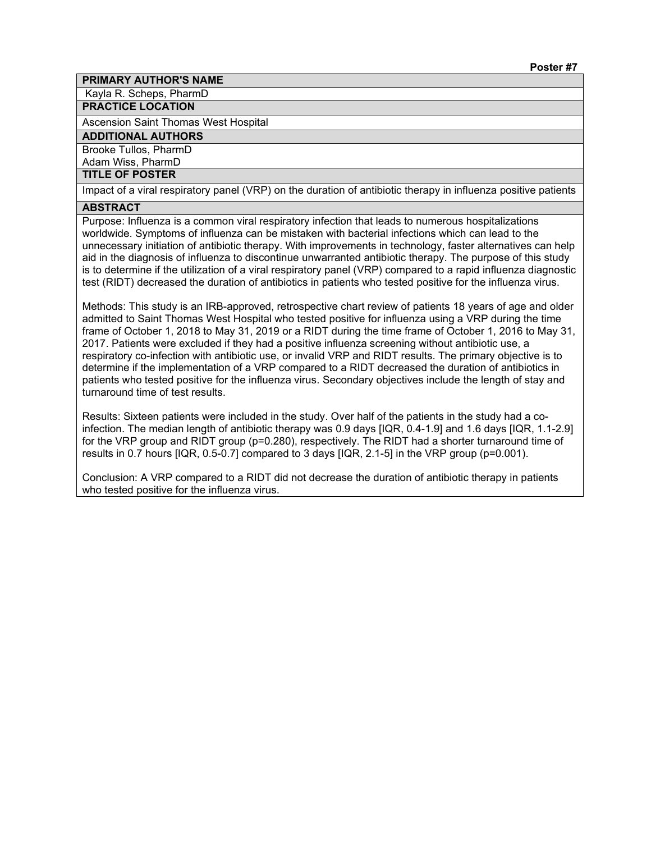Kayla R. Scheps, PharmD

#### **PRACTICE LOCATION**

Ascension Saint Thomas West Hospital

# **ADDITIONAL AUTHORS**

Brooke Tullos, PharmD

Adam Wiss, PharmD

# **TITLE OF POSTER**

Impact of a viral respiratory panel (VRP) on the duration of antibiotic therapy in influenza positive patients

# **ABSTRACT**

Purpose: Influenza is a common viral respiratory infection that leads to numerous hospitalizations worldwide. Symptoms of influenza can be mistaken with bacterial infections which can lead to the unnecessary initiation of antibiotic therapy. With improvements in technology, faster alternatives can help aid in the diagnosis of influenza to discontinue unwarranted antibiotic therapy. The purpose of this study is to determine if the utilization of a viral respiratory panel (VRP) compared to a rapid influenza diagnostic test (RIDT) decreased the duration of antibiotics in patients who tested positive for the influenza virus.

Methods: This study is an IRB-approved, retrospective chart review of patients 18 years of age and older admitted to Saint Thomas West Hospital who tested positive for influenza using a VRP during the time frame of October 1, 2018 to May 31, 2019 or a RIDT during the time frame of October 1, 2016 to May 31, 2017. Patients were excluded if they had a positive influenza screening without antibiotic use, a respiratory co-infection with antibiotic use, or invalid VRP and RIDT results. The primary objective is to determine if the implementation of a VRP compared to a RIDT decreased the duration of antibiotics in patients who tested positive for the influenza virus. Secondary objectives include the length of stay and turnaround time of test results.

Results: Sixteen patients were included in the study. Over half of the patients in the study had a coinfection. The median length of antibiotic therapy was 0.9 days [IQR, 0.4-1.9] and 1.6 days [IQR, 1.1-2.9] for the VRP group and RIDT group (p=0.280), respectively. The RIDT had a shorter turnaround time of results in 0.7 hours [IQR, 0.5-0.7] compared to 3 days [IQR, 2.1-5] in the VRP group (p=0.001).

Conclusion: A VRP compared to a RIDT did not decrease the duration of antibiotic therapy in patients who tested positive for the influenza virus.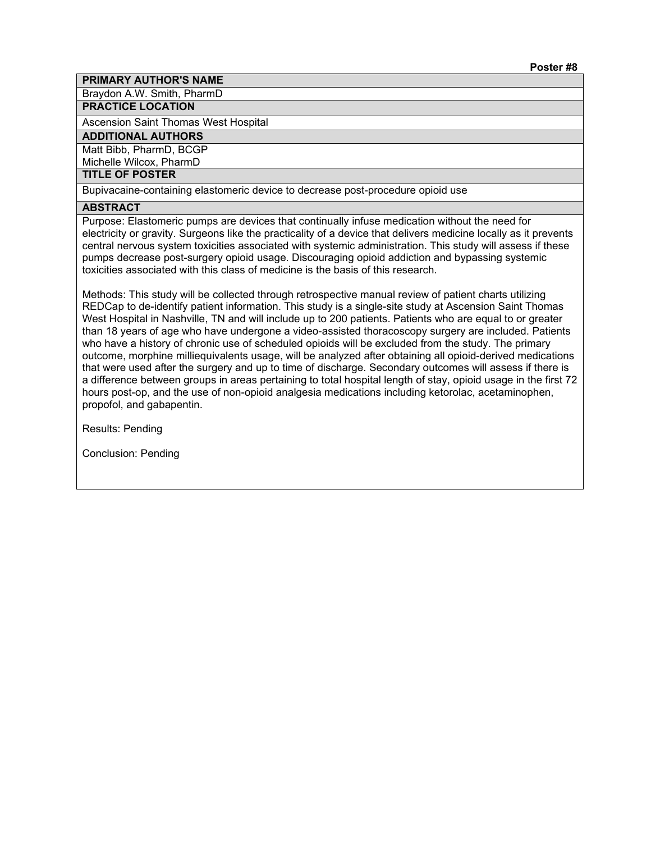Braydon A.W. Smith, PharmD

# **PRACTICE LOCATION**

Ascension Saint Thomas West Hospital

# **ADDITIONAL AUTHORS**

Matt Bibb, PharmD, BCGP Michelle Wilcox, PharmD

# **TITLE OF POSTER**

Bupivacaine-containing elastomeric device to decrease post-procedure opioid use

# **ABSTRACT**

Purpose: Elastomeric pumps are devices that continually infuse medication without the need for electricity or gravity. Surgeons like the practicality of a device that delivers medicine locally as it prevents central nervous system toxicities associated with systemic administration. This study will assess if these pumps decrease post-surgery opioid usage. Discouraging opioid addiction and bypassing systemic toxicities associated with this class of medicine is the basis of this research.

Methods: This study will be collected through retrospective manual review of patient charts utilizing REDCap to de-identify patient information. This study is a single-site study at Ascension Saint Thomas West Hospital in Nashville, TN and will include up to 200 patients. Patients who are equal to or greater than 18 years of age who have undergone a video-assisted thoracoscopy surgery are included. Patients who have a history of chronic use of scheduled opioids will be excluded from the study. The primary outcome, morphine milliequivalents usage, will be analyzed after obtaining all opioid-derived medications that were used after the surgery and up to time of discharge. Secondary outcomes will assess if there is a difference between groups in areas pertaining to total hospital length of stay, opioid usage in the first 72 hours post-op, and the use of non-opioid analgesia medications including ketorolac, acetaminophen, propofol, and gabapentin.

Results: Pending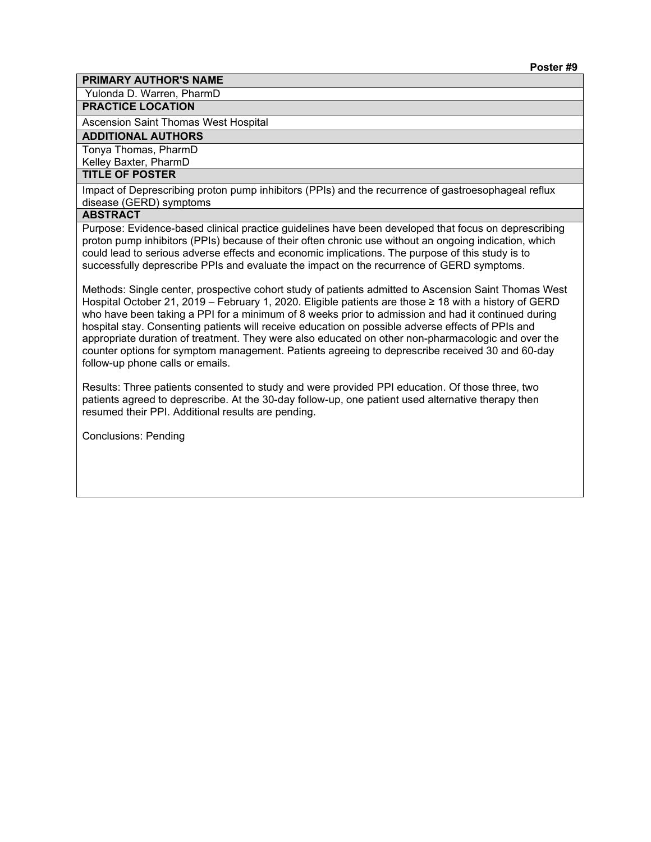Yulonda D. Warren, PharmD

# **PRACTICE LOCATION**

Ascension Saint Thomas West Hospital

# **ADDITIONAL AUTHORS**

Tonya Thomas, PharmD Kelley Baxter, PharmD

#### **TITLE OF POSTER**

Impact of Deprescribing proton pump inhibitors (PPIs) and the recurrence of gastroesophageal reflux disease (GERD) symptoms

# **ABSTRACT**

Purpose: Evidence-based clinical practice guidelines have been developed that focus on deprescribing proton pump inhibitors (PPIs) because of their often chronic use without an ongoing indication, which could lead to serious adverse effects and economic implications. The purpose of this study is to successfully deprescribe PPIs and evaluate the impact on the recurrence of GERD symptoms.

Methods: Single center, prospective cohort study of patients admitted to Ascension Saint Thomas West Hospital October 21, 2019 – February 1, 2020. Eligible patients are those ≥ 18 with a history of GERD who have been taking a PPI for a minimum of 8 weeks prior to admission and had it continued during hospital stay. Consenting patients will receive education on possible adverse effects of PPIs and appropriate duration of treatment. They were also educated on other non-pharmacologic and over the counter options for symptom management. Patients agreeing to deprescribe received 30 and 60-day follow-up phone calls or emails.

Results: Three patients consented to study and were provided PPI education. Of those three, two patients agreed to deprescribe. At the 30-day follow-up, one patient used alternative therapy then resumed their PPI. Additional results are pending.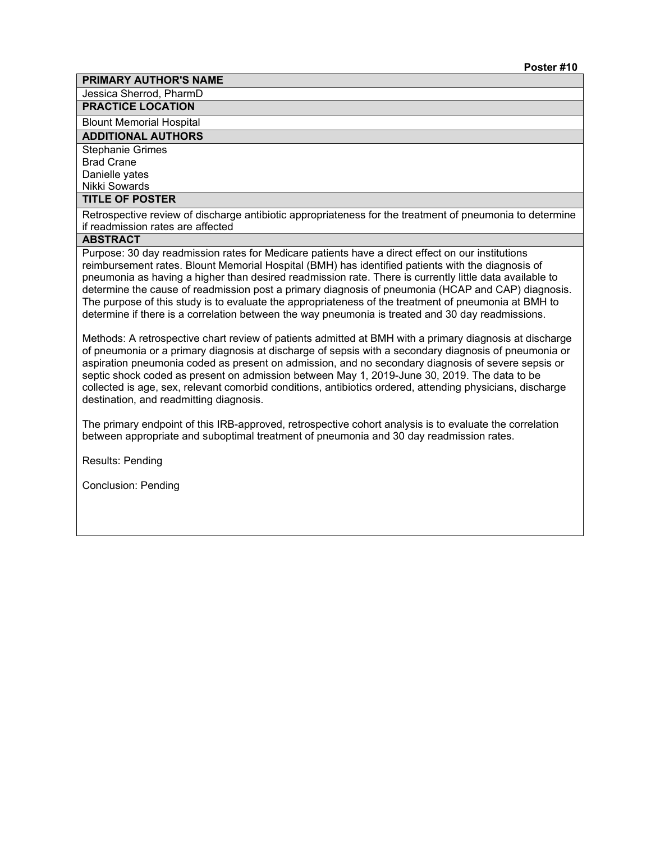Jessica Sherrod, PharmD

**PRACTICE LOCATION**

Blount Memorial Hospital

**ADDITIONAL AUTHORS**

Stephanie Grimes Brad Crane

Danielle yates

Nikki Sowards

# **TITLE OF POSTER**

Retrospective review of discharge antibiotic appropriateness for the treatment of pneumonia to determine if readmission rates are affected

# **ABSTRACT**

Purpose: 30 day readmission rates for Medicare patients have a direct effect on our institutions reimbursement rates. Blount Memorial Hospital (BMH) has identified patients with the diagnosis of pneumonia as having a higher than desired readmission rate. There is currently little data available to determine the cause of readmission post a primary diagnosis of pneumonia (HCAP and CAP) diagnosis. The purpose of this study is to evaluate the appropriateness of the treatment of pneumonia at BMH to determine if there is a correlation between the way pneumonia is treated and 30 day readmissions.

Methods: A retrospective chart review of patients admitted at BMH with a primary diagnosis at discharge of pneumonia or a primary diagnosis at discharge of sepsis with a secondary diagnosis of pneumonia or aspiration pneumonia coded as present on admission, and no secondary diagnosis of severe sepsis or septic shock coded as present on admission between May 1, 2019-June 30, 2019. The data to be collected is age, sex, relevant comorbid conditions, antibiotics ordered, attending physicians, discharge destination, and readmitting diagnosis.

The primary endpoint of this IRB-approved, retrospective cohort analysis is to evaluate the correlation between appropriate and suboptimal treatment of pneumonia and 30 day readmission rates.

Results: Pending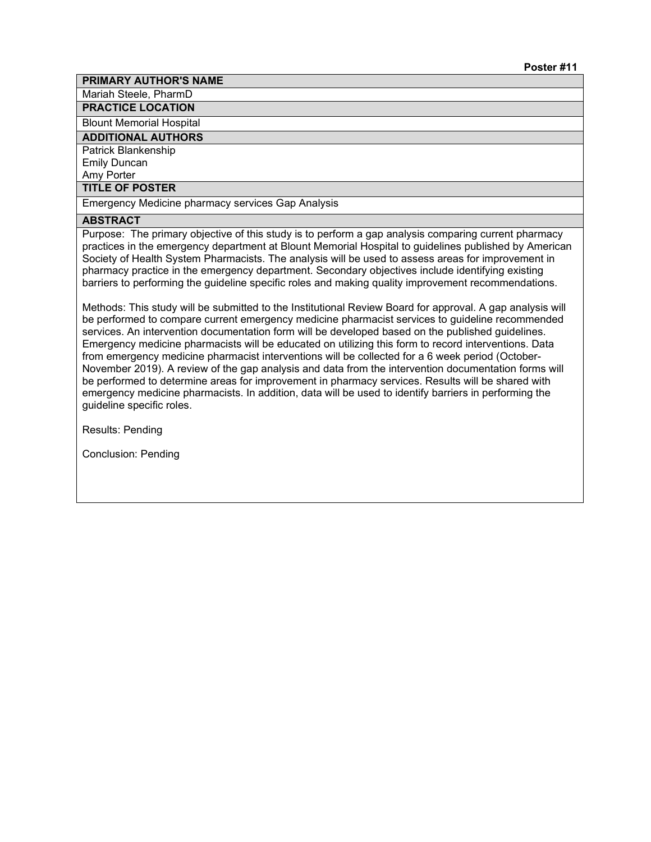Mariah Steele, PharmD

**PRACTICE LOCATION**

Blount Memorial Hospital

**ADDITIONAL AUTHORS**

Patrick Blankenship Emily Duncan

Amy Porter

**TITLE OF POSTER**

Emergency Medicine pharmacy services Gap Analysis

# **ABSTRACT**

Purpose: The primary objective of this study is to perform a gap analysis comparing current pharmacy practices in the emergency department at Blount Memorial Hospital to guidelines published by American Society of Health System Pharmacists. The analysis will be used to assess areas for improvement in pharmacy practice in the emergency department. Secondary objectives include identifying existing barriers to performing the guideline specific roles and making quality improvement recommendations.

Methods: This study will be submitted to the Institutional Review Board for approval. A gap analysis will be performed to compare current emergency medicine pharmacist services to guideline recommended services. An intervention documentation form will be developed based on the published guidelines. Emergency medicine pharmacists will be educated on utilizing this form to record interventions. Data from emergency medicine pharmacist interventions will be collected for a 6 week period (October-November 2019). A review of the gap analysis and data from the intervention documentation forms will be performed to determine areas for improvement in pharmacy services. Results will be shared with emergency medicine pharmacists. In addition, data will be used to identify barriers in performing the guideline specific roles.

Results: Pending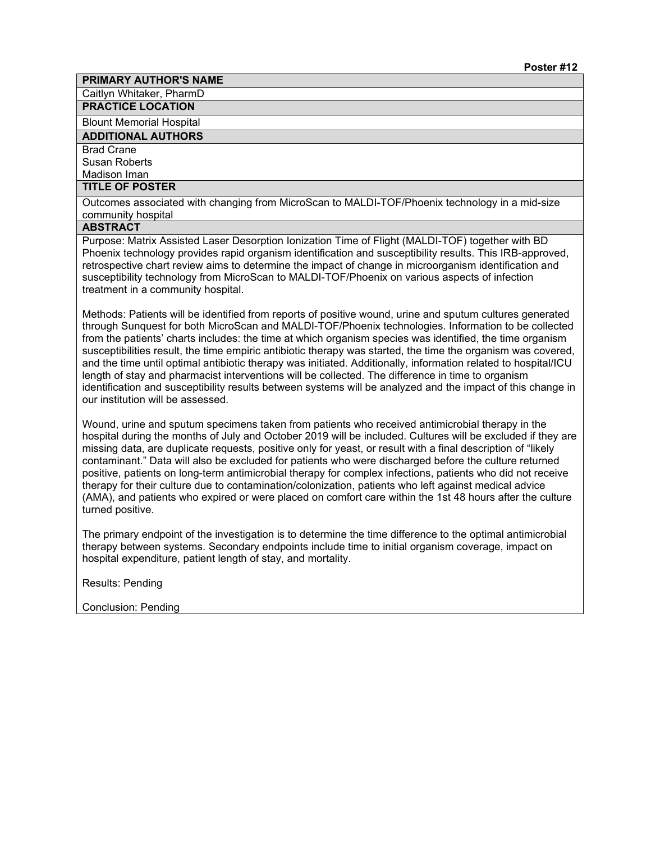Caitlyn Whitaker, PharmD

**PRACTICE LOCATION**

Blount Memorial Hospital

**ADDITIONAL AUTHORS**

#### Brad Crane Susan Roberts

Madison Iman

# **TITLE OF POSTER**

Outcomes associated with changing from MicroScan to MALDI-TOF/Phoenix technology in a mid-size community hospital

# **ABSTRACT**

Purpose: Matrix Assisted Laser Desorption Ionization Time of Flight (MALDI-TOF) together with BD Phoenix technology provides rapid organism identification and susceptibility results. This IRB-approved, retrospective chart review aims to determine the impact of change in microorganism identification and susceptibility technology from MicroScan to MALDI-TOF/Phoenix on various aspects of infection treatment in a community hospital.

Methods: Patients will be identified from reports of positive wound, urine and sputum cultures generated through Sunquest for both MicroScan and MALDI-TOF/Phoenix technologies. Information to be collected from the patients' charts includes: the time at which organism species was identified, the time organism susceptibilities result, the time empiric antibiotic therapy was started, the time the organism was covered, and the time until optimal antibiotic therapy was initiated. Additionally, information related to hospital/ICU length of stay and pharmacist interventions will be collected. The difference in time to organism identification and susceptibility results between systems will be analyzed and the impact of this change in our institution will be assessed.

Wound, urine and sputum specimens taken from patients who received antimicrobial therapy in the hospital during the months of July and October 2019 will be included. Cultures will be excluded if they are missing data, are duplicate requests, positive only for yeast, or result with a final description of "likely contaminant." Data will also be excluded for patients who were discharged before the culture returned positive, patients on long-term antimicrobial therapy for complex infections, patients who did not receive therapy for their culture due to contamination/colonization, patients who left against medical advice (AMA), and patients who expired or were placed on comfort care within the 1st 48 hours after the culture turned positive.

The primary endpoint of the investigation is to determine the time difference to the optimal antimicrobial therapy between systems. Secondary endpoints include time to initial organism coverage, impact on hospital expenditure, patient length of stay, and mortality.

Results: Pending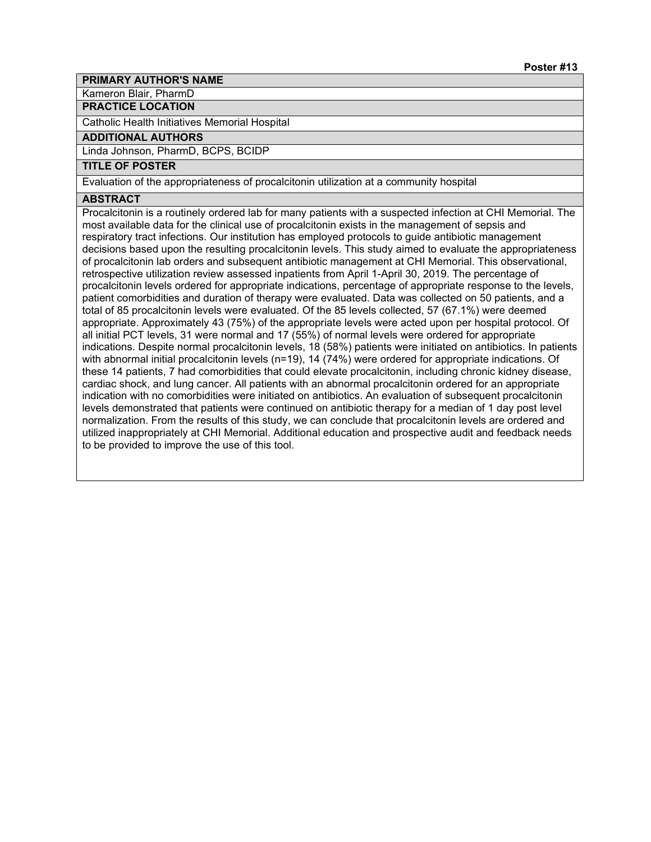Kameron Blair, PharmD

# **PRACTICE LOCATION**

Catholic Health Initiatives Memorial Hospital

# **ADDITIONAL AUTHORS**

Linda Johnson, PharmD, BCPS, BCIDP

# **TITLE OF POSTER**

Evaluation of the appropriateness of procalcitonin utilization at a community hospital

### **ABSTRACT**

Procalcitonin is a routinely ordered lab for many patients with a suspected infection at CHI Memorial. The most available data for the clinical use of procalcitonin exists in the management of sepsis and respiratory tract infections. Our institution has employed protocols to guide antibiotic management decisions based upon the resulting procalcitonin levels. This study aimed to evaluate the appropriateness of procalcitonin lab orders and subsequent antibiotic management at CHI Memorial. This observational, retrospective utilization review assessed inpatients from April 1-April 30, 2019. The percentage of procalcitonin levels ordered for appropriate indications, percentage of appropriate response to the levels, patient comorbidities and duration of therapy were evaluated. Data was collected on 50 patients, and a total of 85 procalcitonin levels were evaluated. Of the 85 levels collected, 57 (67.1%) were deemed appropriate. Approximately 43 (75%) of the appropriate levels were acted upon per hospital protocol. Of all initial PCT levels, 31 were normal and 17 (55%) of normal levels were ordered for appropriate indications. Despite normal procalcitonin levels, 18 (58%) patients were initiated on antibiotics. In patients with abnormal initial procalcitonin levels (n=19), 14 (74%) were ordered for appropriate indications. Of these 14 patients, 7 had comorbidities that could elevate procalcitonin, including chronic kidney disease, cardiac shock, and lung cancer. All patients with an abnormal procalcitonin ordered for an appropriate indication with no comorbidities were initiated on antibiotics. An evaluation of subsequent procalcitonin levels demonstrated that patients were continued on antibiotic therapy for a median of 1 day post level normalization. From the results of this study, we can conclude that procalcitonin levels are ordered and utilized inappropriately at CHI Memorial. Additional education and prospective audit and feedback needs to be provided to improve the use of this tool.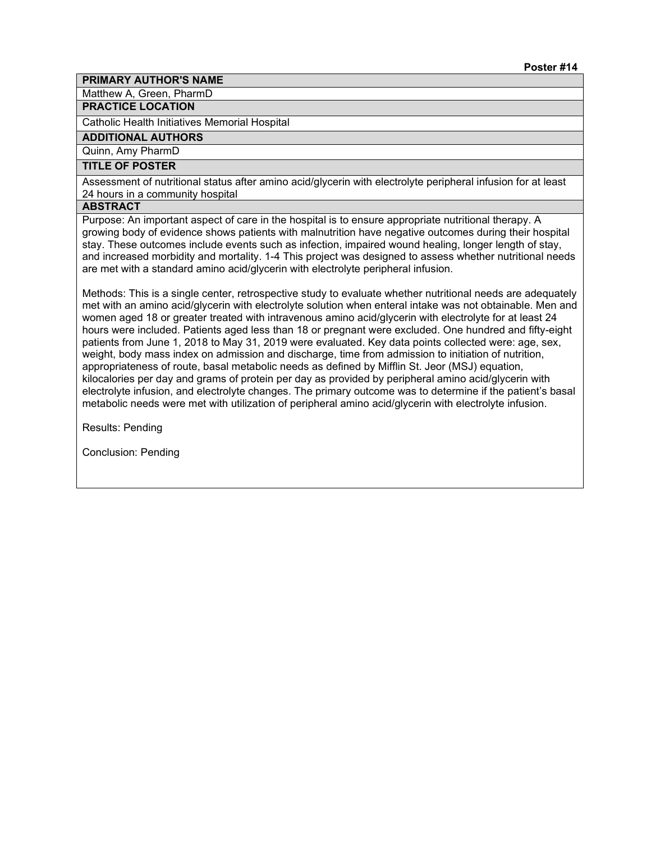Matthew A, Green, PharmD

# **PRACTICE LOCATION**

Catholic Health Initiatives Memorial Hospital

# **ADDITIONAL AUTHORS**

Quinn, Amy PharmD

# **TITLE OF POSTER**

Assessment of nutritional status after amino acid/glycerin with electrolyte peripheral infusion for at least 24 hours in a community hospital

#### **ABSTRACT**

Purpose: An important aspect of care in the hospital is to ensure appropriate nutritional therapy. A growing body of evidence shows patients with malnutrition have negative outcomes during their hospital stay. These outcomes include events such as infection, impaired wound healing, longer length of stay, and increased morbidity and mortality. 1-4 This project was designed to assess whether nutritional needs are met with a standard amino acid/glycerin with electrolyte peripheral infusion.

Methods: This is a single center, retrospective study to evaluate whether nutritional needs are adequately met with an amino acid/glycerin with electrolyte solution when enteral intake was not obtainable. Men and women aged 18 or greater treated with intravenous amino acid/glycerin with electrolyte for at least 24 hours were included. Patients aged less than 18 or pregnant were excluded. One hundred and fifty-eight patients from June 1, 2018 to May 31, 2019 were evaluated. Key data points collected were: age, sex, weight, body mass index on admission and discharge, time from admission to initiation of nutrition, appropriateness of route, basal metabolic needs as defined by Mifflin St. Jeor (MSJ) equation, kilocalories per day and grams of protein per day as provided by peripheral amino acid/glycerin with electrolyte infusion, and electrolyte changes. The primary outcome was to determine if the patient's basal metabolic needs were met with utilization of peripheral amino acid/glycerin with electrolyte infusion.

Results: Pending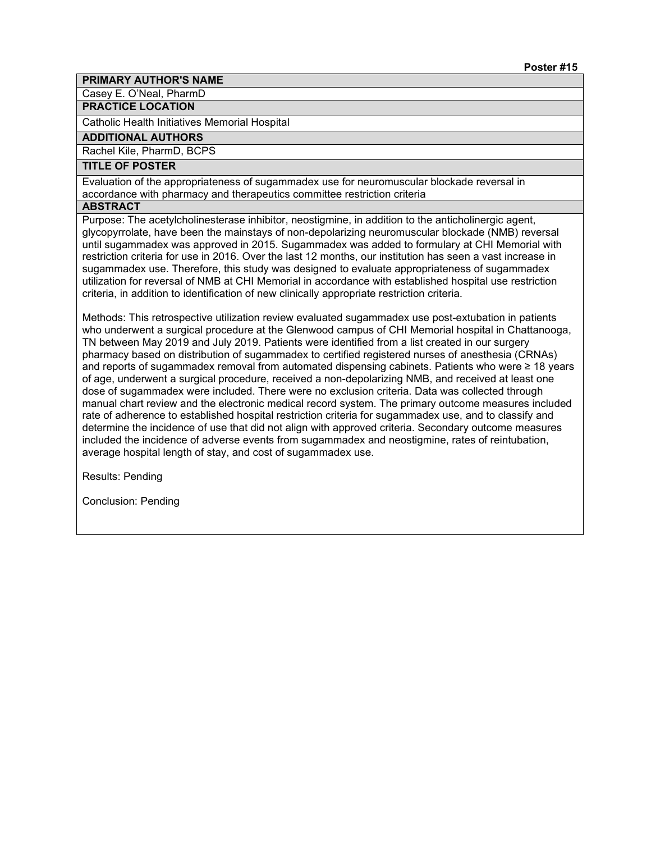Casey E. O'Neal, PharmD

# **PRACTICE LOCATION**

Catholic Health Initiatives Memorial Hospital

# **ADDITIONAL AUTHORS**

Rachel Kile, PharmD, BCPS

# **TITLE OF POSTER**

Evaluation of the appropriateness of sugammadex use for neuromuscular blockade reversal in accordance with pharmacy and therapeutics committee restriction criteria

#### **ABSTRACT**

Purpose: The acetylcholinesterase inhibitor, neostigmine, in addition to the anticholinergic agent, glycopyrrolate, have been the mainstays of non-depolarizing neuromuscular blockade (NMB) reversal until sugammadex was approved in 2015. Sugammadex was added to formulary at CHI Memorial with restriction criteria for use in 2016. Over the last 12 months, our institution has seen a vast increase in sugammadex use. Therefore, this study was designed to evaluate appropriateness of sugammadex utilization for reversal of NMB at CHI Memorial in accordance with established hospital use restriction criteria, in addition to identification of new clinically appropriate restriction criteria.

Methods: This retrospective utilization review evaluated sugammadex use post-extubation in patients who underwent a surgical procedure at the Glenwood campus of CHI Memorial hospital in Chattanooga, TN between May 2019 and July 2019. Patients were identified from a list created in our surgery pharmacy based on distribution of sugammadex to certified registered nurses of anesthesia (CRNAs) and reports of sugammadex removal from automated dispensing cabinets. Patients who were ≥ 18 years of age, underwent a surgical procedure, received a non-depolarizing NMB, and received at least one dose of sugammadex were included. There were no exclusion criteria. Data was collected through manual chart review and the electronic medical record system. The primary outcome measures included rate of adherence to established hospital restriction criteria for sugammadex use, and to classify and determine the incidence of use that did not align with approved criteria. Secondary outcome measures included the incidence of adverse events from sugammadex and neostigmine, rates of reintubation, average hospital length of stay, and cost of sugammadex use.

Results: Pending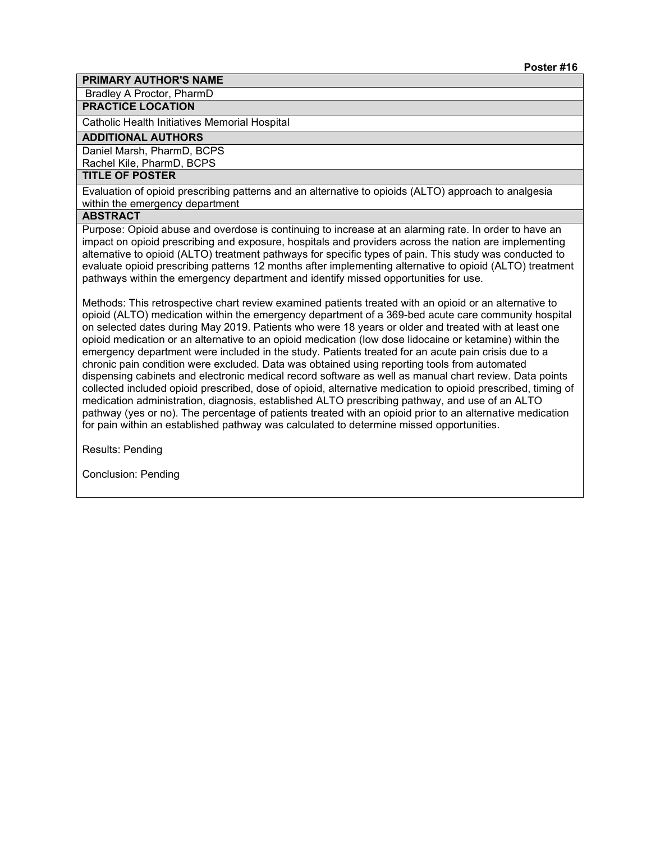Bradley A Proctor, PharmD

#### **PRACTICE LOCATION**

Catholic Health Initiatives Memorial Hospital

#### **ADDITIONAL AUTHORS**

Daniel Marsh, PharmD, BCPS Rachel Kile, PharmD, BCPS

# **TITLE OF POSTER**

Evaluation of opioid prescribing patterns and an alternative to opioids (ALTO) approach to analgesia within the emergency department

# **ABSTRACT**

Purpose: Opioid abuse and overdose is continuing to increase at an alarming rate. In order to have an impact on opioid prescribing and exposure, hospitals and providers across the nation are implementing alternative to opioid (ALTO) treatment pathways for specific types of pain. This study was conducted to evaluate opioid prescribing patterns 12 months after implementing alternative to opioid (ALTO) treatment pathways within the emergency department and identify missed opportunities for use.

Methods: This retrospective chart review examined patients treated with an opioid or an alternative to opioid (ALTO) medication within the emergency department of a 369-bed acute care community hospital on selected dates during May 2019. Patients who were 18 years or older and treated with at least one opioid medication or an alternative to an opioid medication (low dose lidocaine or ketamine) within the emergency department were included in the study. Patients treated for an acute pain crisis due to a chronic pain condition were excluded. Data was obtained using reporting tools from automated dispensing cabinets and electronic medical record software as well as manual chart review. Data points collected included opioid prescribed, dose of opioid, alternative medication to opioid prescribed, timing of medication administration, diagnosis, established ALTO prescribing pathway, and use of an ALTO pathway (yes or no). The percentage of patients treated with an opioid prior to an alternative medication for pain within an established pathway was calculated to determine missed opportunities.

Results: Pending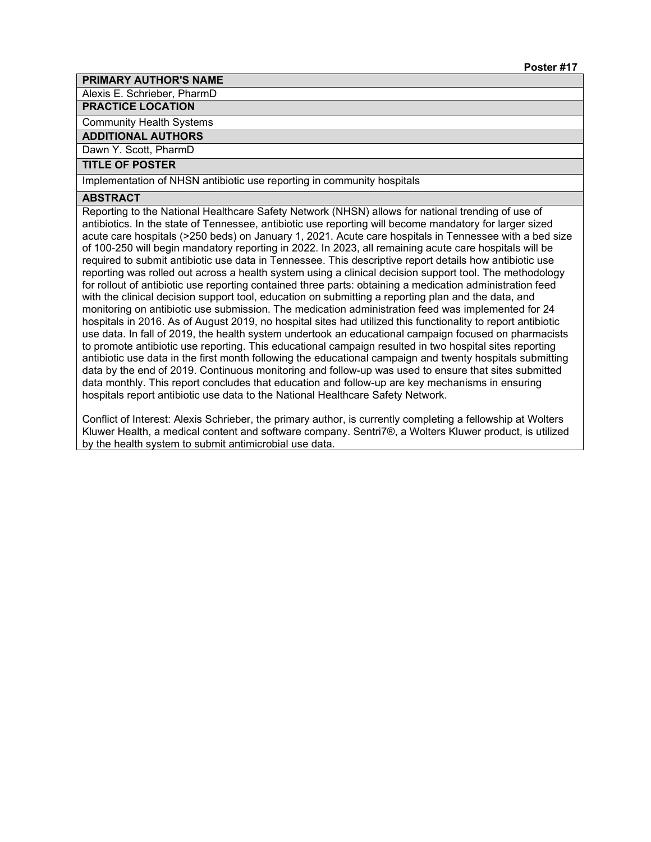Alexis E. Schrieber, PharmD

#### **PRACTICE LOCATION**

Community Health Systems

#### **ADDITIONAL AUTHORS**

Dawn Y. Scott, PharmD

#### **TITLE OF POSTER**

Implementation of NHSN antibiotic use reporting in community hospitals

#### **ABSTRACT**

Reporting to the National Healthcare Safety Network (NHSN) allows for national trending of use of antibiotics. In the state of Tennessee, antibiotic use reporting will become mandatory for larger sized acute care hospitals (>250 beds) on January 1, 2021. Acute care hospitals in Tennessee with a bed size of 100-250 will begin mandatory reporting in 2022. In 2023, all remaining acute care hospitals will be required to submit antibiotic use data in Tennessee. This descriptive report details how antibiotic use reporting was rolled out across a health system using a clinical decision support tool. The methodology for rollout of antibiotic use reporting contained three parts: obtaining a medication administration feed with the clinical decision support tool, education on submitting a reporting plan and the data, and monitoring on antibiotic use submission. The medication administration feed was implemented for 24 hospitals in 2016. As of August 2019, no hospital sites had utilized this functionality to report antibiotic use data. In fall of 2019, the health system undertook an educational campaign focused on pharmacists to promote antibiotic use reporting. This educational campaign resulted in two hospital sites reporting antibiotic use data in the first month following the educational campaign and twenty hospitals submitting data by the end of 2019. Continuous monitoring and follow-up was used to ensure that sites submitted data monthly. This report concludes that education and follow-up are key mechanisms in ensuring hospitals report antibiotic use data to the National Healthcare Safety Network.

Conflict of Interest: Alexis Schrieber, the primary author, is currently completing a fellowship at Wolters Kluwer Health, a medical content and software company. Sentri7®, a Wolters Kluwer product, is utilized by the health system to submit antimicrobial use data.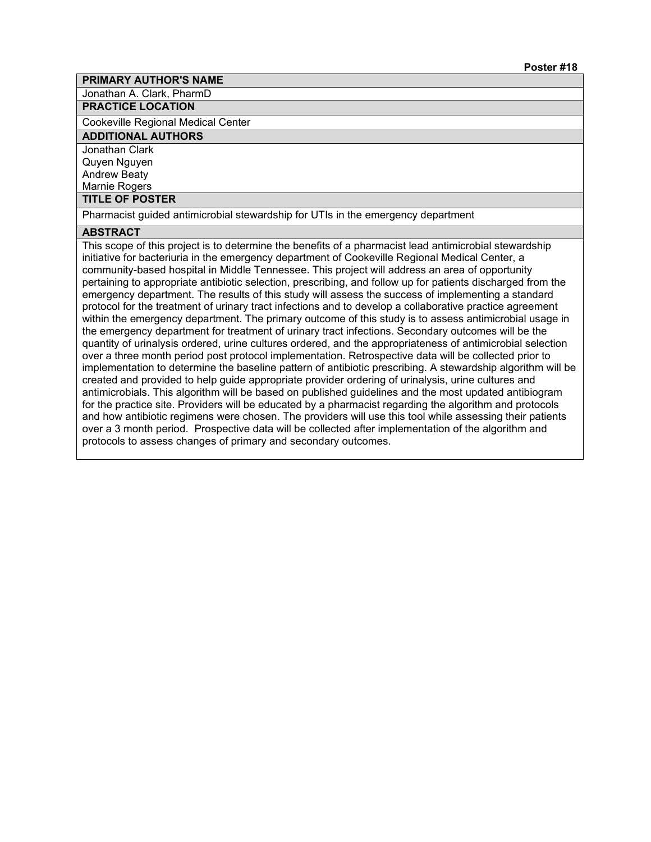Jonathan A. Clark, PharmD

# **PRACTICE LOCATION**

Cookeville Regional Medical Center

# **ADDITIONAL AUTHORS**

Jonathan Clark Quyen Nguyen Andrew Beaty Marnie Rogers

#### **TITLE OF POSTER**

Pharmacist guided antimicrobial stewardship for UTIs in the emergency department

# **ABSTRACT**

This scope of this project is to determine the benefits of a pharmacist lead antimicrobial stewardship initiative for bacteriuria in the emergency department of Cookeville Regional Medical Center, a community-based hospital in Middle Tennessee. This project will address an area of opportunity pertaining to appropriate antibiotic selection, prescribing, and follow up for patients discharged from the emergency department. The results of this study will assess the success of implementing a standard protocol for the treatment of urinary tract infections and to develop a collaborative practice agreement within the emergency department. The primary outcome of this study is to assess antimicrobial usage in the emergency department for treatment of urinary tract infections. Secondary outcomes will be the quantity of urinalysis ordered, urine cultures ordered, and the appropriateness of antimicrobial selection over a three month period post protocol implementation. Retrospective data will be collected prior to implementation to determine the baseline pattern of antibiotic prescribing. A stewardship algorithm will be created and provided to help guide appropriate provider ordering of urinalysis, urine cultures and antimicrobials. This algorithm will be based on published guidelines and the most updated antibiogram for the practice site. Providers will be educated by a pharmacist regarding the algorithm and protocols and how antibiotic regimens were chosen. The providers will use this tool while assessing their patients over a 3 month period. Prospective data will be collected after implementation of the algorithm and protocols to assess changes of primary and secondary outcomes.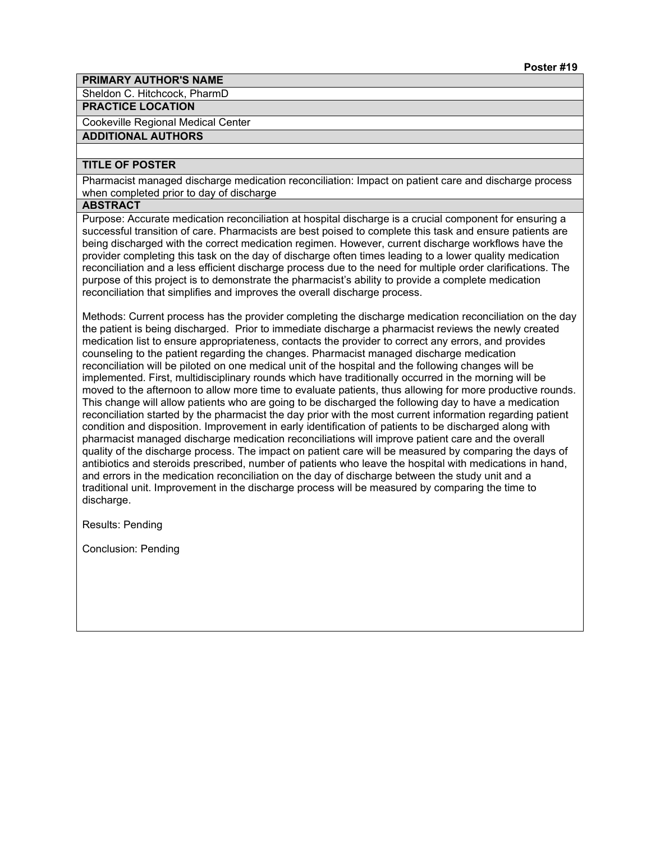Sheldon C. Hitchcock, PharmD

# **PRACTICE LOCATION**

Cookeville Regional Medical Center

#### **ADDITIONAL AUTHORS**

# **TITLE OF POSTER**

Pharmacist managed discharge medication reconciliation: Impact on patient care and discharge process when completed prior to day of discharge

#### **ABSTRACT**

Purpose: Accurate medication reconciliation at hospital discharge is a crucial component for ensuring a successful transition of care. Pharmacists are best poised to complete this task and ensure patients are being discharged with the correct medication regimen. However, current discharge workflows have the provider completing this task on the day of discharge often times leading to a lower quality medication reconciliation and a less efficient discharge process due to the need for multiple order clarifications. The purpose of this project is to demonstrate the pharmacist's ability to provide a complete medication reconciliation that simplifies and improves the overall discharge process.

Methods: Current process has the provider completing the discharge medication reconciliation on the day the patient is being discharged. Prior to immediate discharge a pharmacist reviews the newly created medication list to ensure appropriateness, contacts the provider to correct any errors, and provides counseling to the patient regarding the changes. Pharmacist managed discharge medication reconciliation will be piloted on one medical unit of the hospital and the following changes will be implemented. First, multidisciplinary rounds which have traditionally occurred in the morning will be moved to the afternoon to allow more time to evaluate patients, thus allowing for more productive rounds. This change will allow patients who are going to be discharged the following day to have a medication reconciliation started by the pharmacist the day prior with the most current information regarding patient condition and disposition. Improvement in early identification of patients to be discharged along with pharmacist managed discharge medication reconciliations will improve patient care and the overall quality of the discharge process. The impact on patient care will be measured by comparing the days of antibiotics and steroids prescribed, number of patients who leave the hospital with medications in hand, and errors in the medication reconciliation on the day of discharge between the study unit and a traditional unit. Improvement in the discharge process will be measured by comparing the time to discharge.

Results: Pending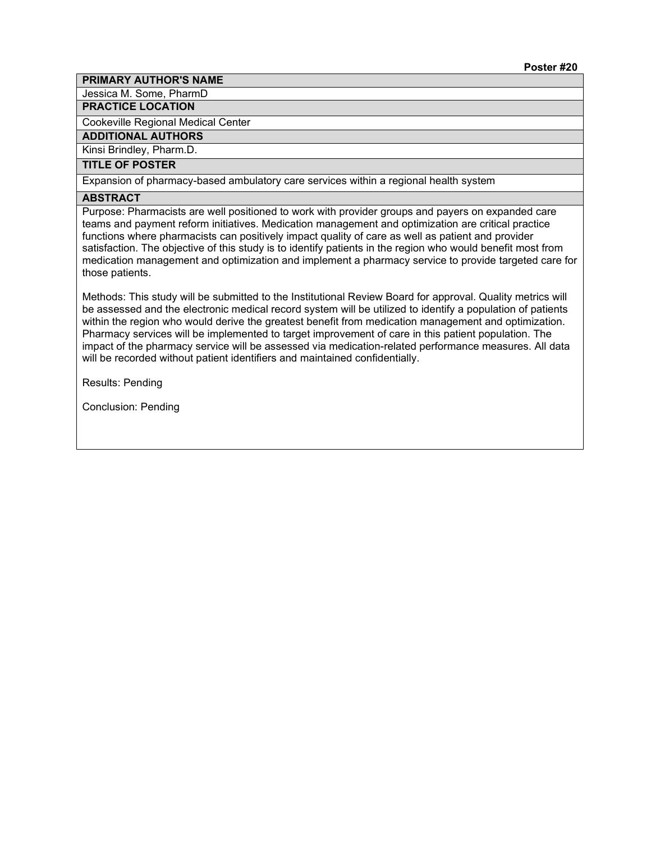Jessica M. Some, PharmD

# **PRACTICE LOCATION**

Cookeville Regional Medical Center

**ADDITIONAL AUTHORS**

Kinsi Brindley, Pharm.D.

# **TITLE OF POSTER**

Expansion of pharmacy-based ambulatory care services within a regional health system

# **ABSTRACT**

Purpose: Pharmacists are well positioned to work with provider groups and payers on expanded care teams and payment reform initiatives. Medication management and optimization are critical practice functions where pharmacists can positively impact quality of care as well as patient and provider satisfaction. The objective of this study is to identify patients in the region who would benefit most from medication management and optimization and implement a pharmacy service to provide targeted care for those patients.

Methods: This study will be submitted to the Institutional Review Board for approval. Quality metrics will be assessed and the electronic medical record system will be utilized to identify a population of patients within the region who would derive the greatest benefit from medication management and optimization. Pharmacy services will be implemented to target improvement of care in this patient population. The impact of the pharmacy service will be assessed via medication-related performance measures. All data will be recorded without patient identifiers and maintained confidentially.

Results: Pending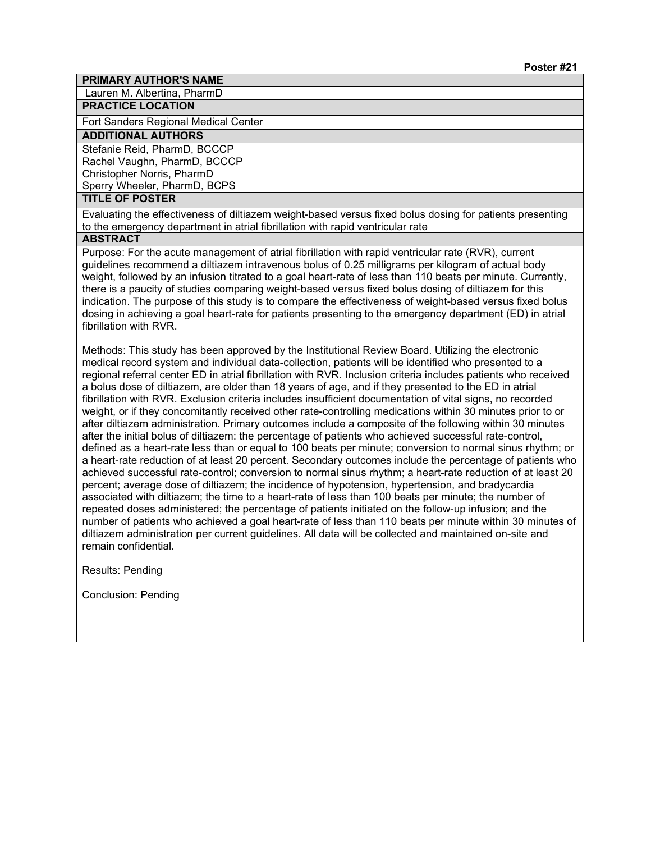Lauren M. Albertina, PharmD

# **PRACTICE LOCATION**

Fort Sanders Regional Medical Center

# **ADDITIONAL AUTHORS**

Stefanie Reid, PharmD, BCCCP Rachel Vaughn, PharmD, BCCCP Christopher Norris, PharmD Sperry Wheeler, PharmD, BCPS

# **TITLE OF POSTER**

Evaluating the effectiveness of diltiazem weight-based versus fixed bolus dosing for patients presenting to the emergency department in atrial fibrillation with rapid ventricular rate

# **ABSTRACT**

Purpose: For the acute management of atrial fibrillation with rapid ventricular rate (RVR), current guidelines recommend a diltiazem intravenous bolus of 0.25 milligrams per kilogram of actual body weight, followed by an infusion titrated to a goal heart-rate of less than 110 beats per minute. Currently, there is a paucity of studies comparing weight-based versus fixed bolus dosing of diltiazem for this indication. The purpose of this study is to compare the effectiveness of weight-based versus fixed bolus dosing in achieving a goal heart-rate for patients presenting to the emergency department (ED) in atrial fibrillation with RVR.

Methods: This study has been approved by the Institutional Review Board. Utilizing the electronic medical record system and individual data-collection, patients will be identified who presented to a regional referral center ED in atrial fibrillation with RVR. Inclusion criteria includes patients who received a bolus dose of diltiazem, are older than 18 years of age, and if they presented to the ED in atrial fibrillation with RVR. Exclusion criteria includes insufficient documentation of vital signs, no recorded weight, or if they concomitantly received other rate-controlling medications within 30 minutes prior to or after diltiazem administration. Primary outcomes include a composite of the following within 30 minutes after the initial bolus of diltiazem: the percentage of patients who achieved successful rate-control, defined as a heart-rate less than or equal to 100 beats per minute; conversion to normal sinus rhythm; or a heart-rate reduction of at least 20 percent. Secondary outcomes include the percentage of patients who achieved successful rate-control; conversion to normal sinus rhythm; a heart-rate reduction of at least 20 percent; average dose of diltiazem; the incidence of hypotension, hypertension, and bradycardia associated with diltiazem; the time to a heart-rate of less than 100 beats per minute; the number of repeated doses administered; the percentage of patients initiated on the follow-up infusion; and the number of patients who achieved a goal heart-rate of less than 110 beats per minute within 30 minutes of diltiazem administration per current guidelines. All data will be collected and maintained on-site and remain confidential.

Results: Pending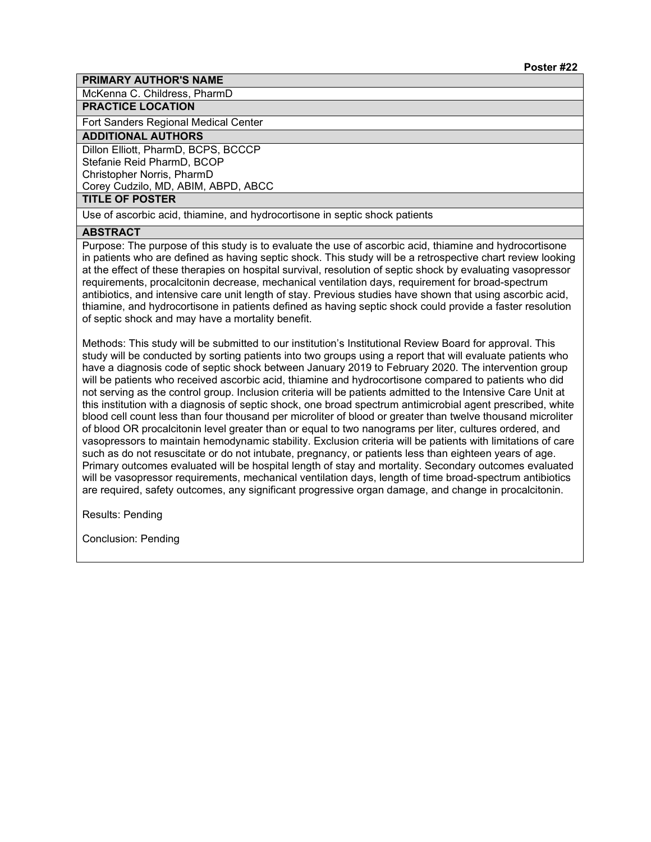McKenna C. Childress, PharmD

# **PRACTICE LOCATION**

Fort Sanders Regional Medical Center

# **ADDITIONAL AUTHORS**

Dillon Elliott, PharmD, BCPS, BCCCP Stefanie Reid PharmD, BCOP Christopher Norris, PharmD Corey Cudzilo, MD, ABIM, ABPD, ABCC

### **TITLE OF POSTER**

Use of ascorbic acid, thiamine, and hydrocortisone in septic shock patients

#### **ABSTRACT**

Purpose: The purpose of this study is to evaluate the use of ascorbic acid, thiamine and hydrocortisone in patients who are defined as having septic shock. This study will be a retrospective chart review looking at the effect of these therapies on hospital survival, resolution of septic shock by evaluating vasopressor requirements, procalcitonin decrease, mechanical ventilation days, requirement for broad-spectrum antibiotics, and intensive care unit length of stay. Previous studies have shown that using ascorbic acid, thiamine, and hydrocortisone in patients defined as having septic shock could provide a faster resolution of septic shock and may have a mortality benefit.

Methods: This study will be submitted to our institution's Institutional Review Board for approval. This study will be conducted by sorting patients into two groups using a report that will evaluate patients who have a diagnosis code of septic shock between January 2019 to February 2020. The intervention group will be patients who received ascorbic acid, thiamine and hydrocortisone compared to patients who did not serving as the control group. Inclusion criteria will be patients admitted to the Intensive Care Unit at this institution with a diagnosis of septic shock, one broad spectrum antimicrobial agent prescribed, white blood cell count less than four thousand per microliter of blood or greater than twelve thousand microliter of blood OR procalcitonin level greater than or equal to two nanograms per liter, cultures ordered, and vasopressors to maintain hemodynamic stability. Exclusion criteria will be patients with limitations of care such as do not resuscitate or do not intubate, pregnancy, or patients less than eighteen years of age. Primary outcomes evaluated will be hospital length of stay and mortality. Secondary outcomes evaluated will be vasopressor requirements, mechanical ventilation days, length of time broad-spectrum antibiotics are required, safety outcomes, any significant progressive organ damage, and change in procalcitonin.

Results: Pending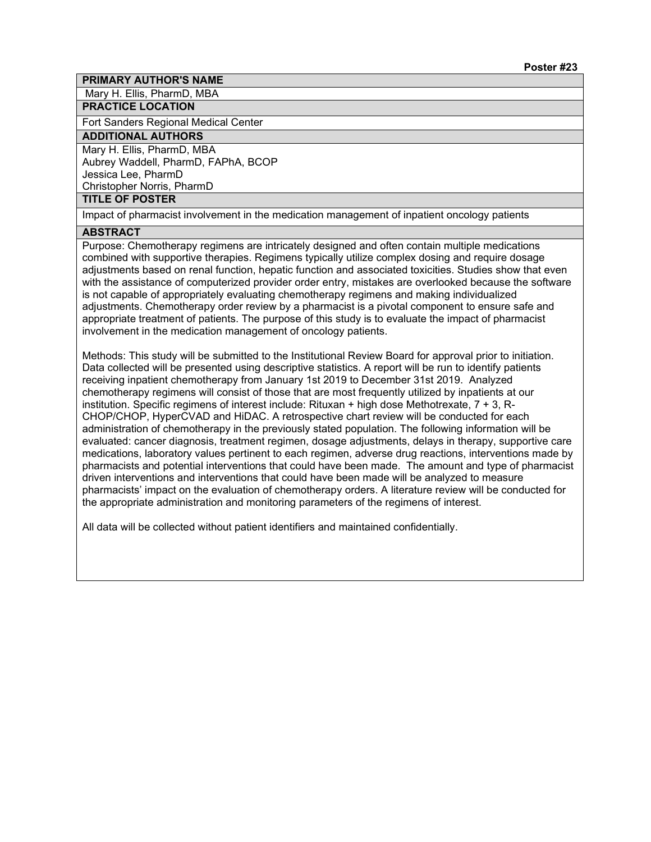Mary H. Ellis, PharmD, MBA

### **PRACTICE LOCATION**

Fort Sanders Regional Medical Center

# **ADDITIONAL AUTHORS**

Mary H. Ellis, PharmD, MBA

Aubrey Waddell, PharmD, FAPhA, BCOP Jessica Lee, PharmD

Christopher Norris, PharmD

# **TITLE OF POSTER**

Impact of pharmacist involvement in the medication management of inpatient oncology patients

#### **ABSTRACT**

Purpose: Chemotherapy regimens are intricately designed and often contain multiple medications combined with supportive therapies. Regimens typically utilize complex dosing and require dosage adjustments based on renal function, hepatic function and associated toxicities. Studies show that even with the assistance of computerized provider order entry, mistakes are overlooked because the software is not capable of appropriately evaluating chemotherapy regimens and making individualized adjustments. Chemotherapy order review by a pharmacist is a pivotal component to ensure safe and appropriate treatment of patients. The purpose of this study is to evaluate the impact of pharmacist involvement in the medication management of oncology patients.

Methods: This study will be submitted to the Institutional Review Board for approval prior to initiation. Data collected will be presented using descriptive statistics. A report will be run to identify patients receiving inpatient chemotherapy from January 1st 2019 to December 31st 2019. Analyzed chemotherapy regimens will consist of those that are most frequently utilized by inpatients at our institution. Specific regimens of interest include: Rituxan + high dose Methotrexate, 7 + 3, R-CHOP/CHOP, HyperCVAD and HiDAC. A retrospective chart review will be conducted for each administration of chemotherapy in the previously stated population. The following information will be evaluated: cancer diagnosis, treatment regimen, dosage adjustments, delays in therapy, supportive care medications, laboratory values pertinent to each regimen, adverse drug reactions, interventions made by pharmacists and potential interventions that could have been made. The amount and type of pharmacist driven interventions and interventions that could have been made will be analyzed to measure pharmacists' impact on the evaluation of chemotherapy orders. A literature review will be conducted for the appropriate administration and monitoring parameters of the regimens of interest.

All data will be collected without patient identifiers and maintained confidentially.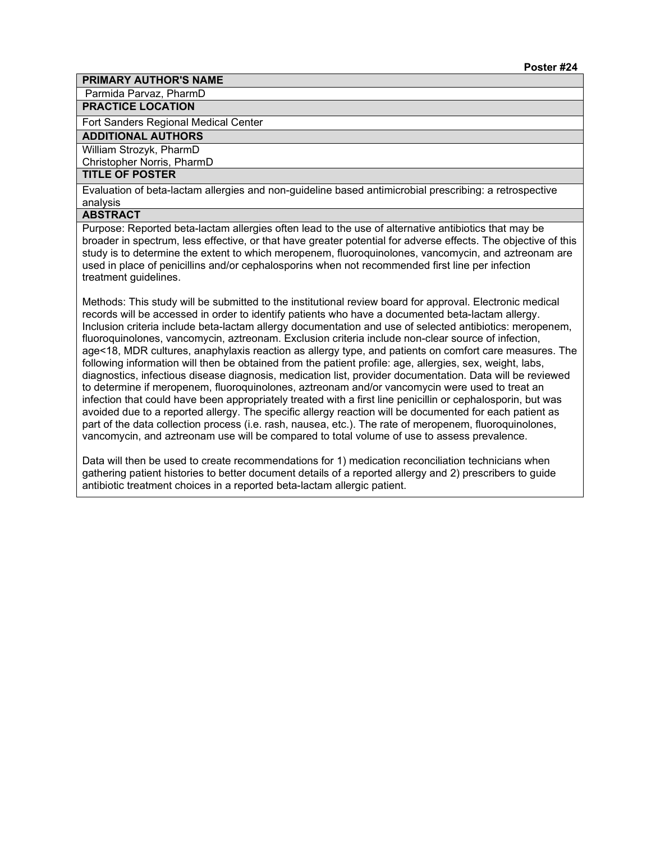Parmida Parvaz, PharmD

**PRACTICE LOCATION**

Fort Sanders Regional Medical Center

# **ADDITIONAL AUTHORS**

William Strozyk, PharmD

Christopher Norris, PharmD

# **TITLE OF POSTER**

Evaluation of beta-lactam allergies and non-guideline based antimicrobial prescribing: a retrospective analysis

# **ABSTRACT**

Purpose: Reported beta-lactam allergies often lead to the use of alternative antibiotics that may be broader in spectrum, less effective, or that have greater potential for adverse effects. The objective of this study is to determine the extent to which meropenem, fluoroquinolones, vancomycin, and aztreonam are used in place of penicillins and/or cephalosporins when not recommended first line per infection treatment guidelines.

Methods: This study will be submitted to the institutional review board for approval. Electronic medical records will be accessed in order to identify patients who have a documented beta-lactam allergy. Inclusion criteria include beta-lactam allergy documentation and use of selected antibiotics: meropenem, fluoroquinolones, vancomycin, aztreonam. Exclusion criteria include non-clear source of infection, age<18, MDR cultures, anaphylaxis reaction as allergy type, and patients on comfort care measures. The following information will then be obtained from the patient profile: age, allergies, sex, weight, labs, diagnostics, infectious disease diagnosis, medication list, provider documentation. Data will be reviewed to determine if meropenem, fluoroquinolones, aztreonam and/or vancomycin were used to treat an infection that could have been appropriately treated with a first line penicillin or cephalosporin, but was avoided due to a reported allergy. The specific allergy reaction will be documented for each patient as part of the data collection process (i.e. rash, nausea, etc.). The rate of meropenem, fluoroquinolones, vancomycin, and aztreonam use will be compared to total volume of use to assess prevalence.

Data will then be used to create recommendations for 1) medication reconciliation technicians when gathering patient histories to better document details of a reported allergy and 2) prescribers to guide antibiotic treatment choices in a reported beta-lactam allergic patient.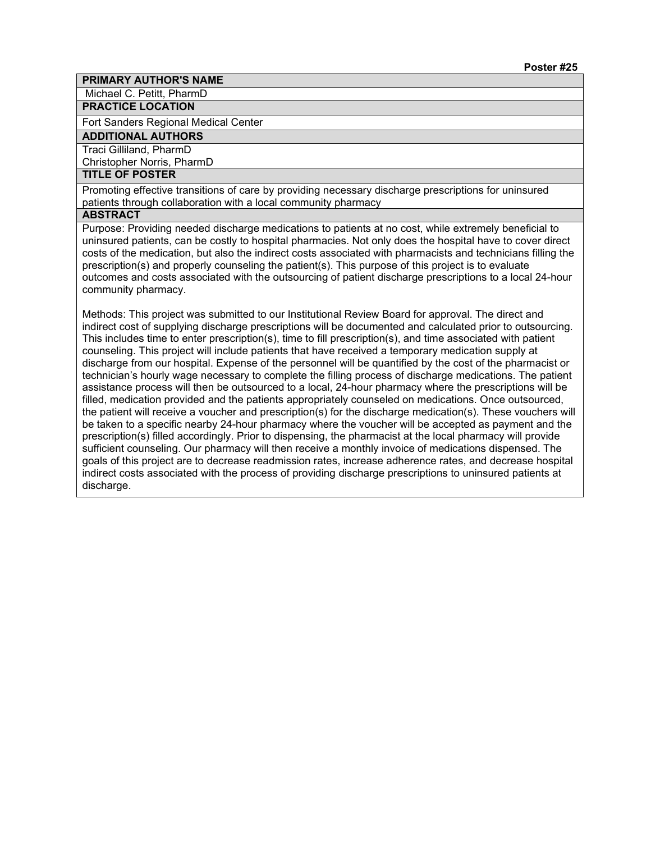Michael C. Petitt, PharmD

#### **PRACTICE LOCATION**

Fort Sanders Regional Medical Center

# **ADDITIONAL AUTHORS**

# Traci Gilliland, PharmD

Christopher Norris, PharmD

# **TITLE OF POSTER**

Promoting effective transitions of care by providing necessary discharge prescriptions for uninsured patients through collaboration with a local community pharmacy

#### **ABSTRACT**

Purpose: Providing needed discharge medications to patients at no cost, while extremely beneficial to uninsured patients, can be costly to hospital pharmacies. Not only does the hospital have to cover direct costs of the medication, but also the indirect costs associated with pharmacists and technicians filling the prescription(s) and properly counseling the patient(s). This purpose of this project is to evaluate outcomes and costs associated with the outsourcing of patient discharge prescriptions to a local 24-hour community pharmacy.

Methods: This project was submitted to our Institutional Review Board for approval. The direct and indirect cost of supplying discharge prescriptions will be documented and calculated prior to outsourcing. This includes time to enter prescription(s), time to fill prescription(s), and time associated with patient counseling. This project will include patients that have received a temporary medication supply at discharge from our hospital. Expense of the personnel will be quantified by the cost of the pharmacist or technician's hourly wage necessary to complete the filling process of discharge medications. The patient assistance process will then be outsourced to a local, 24-hour pharmacy where the prescriptions will be filled, medication provided and the patients appropriately counseled on medications. Once outsourced, the patient will receive a voucher and prescription(s) for the discharge medication(s). These vouchers will be taken to a specific nearby 24-hour pharmacy where the voucher will be accepted as payment and the prescription(s) filled accordingly. Prior to dispensing, the pharmacist at the local pharmacy will provide sufficient counseling. Our pharmacy will then receive a monthly invoice of medications dispensed. The goals of this project are to decrease readmission rates, increase adherence rates, and decrease hospital indirect costs associated with the process of providing discharge prescriptions to uninsured patients at discharge.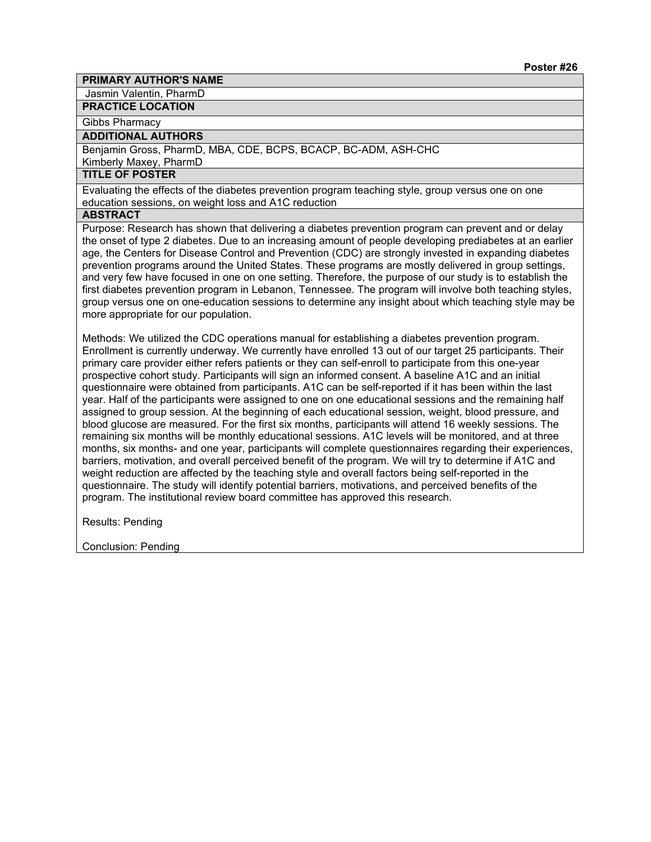Jasmin Valentin, PharmD

#### **PRACTICE LOCATION**

Gibbs Pharmacy

#### **ADDITIONAL AUTHORS**

Benjamin Gross, PharmD, MBA, CDE, BCPS, BCACP, BC-ADM, ASH-CHC

Kimberly Maxey, PharmD

# **TITLE OF POSTER**

Evaluating the effects of the diabetes prevention program teaching style, group versus one on one education sessions, on weight loss and A1C reduction

# **ABSTRACT**

Purpose: Research has shown that delivering a diabetes prevention program can prevent and or delay the onset of type 2 diabetes. Due to an increasing amount of people developing prediabetes at an earlier age, the Centers for Disease Control and Prevention (CDC) are strongly invested in expanding diabetes prevention programs around the United States. These programs are mostly delivered in group settings, and very few have focused in one on one setting. Therefore, the purpose of our study is to establish the first diabetes prevention program in Lebanon, Tennessee. The program will involve both teaching styles, group versus one on one-education sessions to determine any insight about which teaching style may be more appropriate for our population.

Methods: We utilized the CDC operations manual for establishing a diabetes prevention program. Enrollment is currently underway. We currently have enrolled 13 out of our target 25 participants. Their primary care provider either refers patients or they can self-enroll to participate from this one-year prospective cohort study. Participants will sign an informed consent. A baseline A1C and an initial questionnaire were obtained from participants. A1C can be self-reported if it has been within the last year. Half of the participants were assigned to one on one educational sessions and the remaining half assigned to group session. At the beginning of each educational session, weight, blood pressure, and blood glucose are measured. For the first six months, participants will attend 16 weekly sessions. The remaining six months will be monthly educational sessions. A1C levels will be monitored, and at three months, six months- and one year, participants will complete questionnaires regarding their experiences, barriers, motivation, and overall perceived benefit of the program. We will try to determine if A1C and weight reduction are affected by the teaching style and overall factors being self-reported in the questionnaire. The study will identify potential barriers, motivations, and perceived benefits of the program. The institutional review board committee has approved this research.

Results: Pending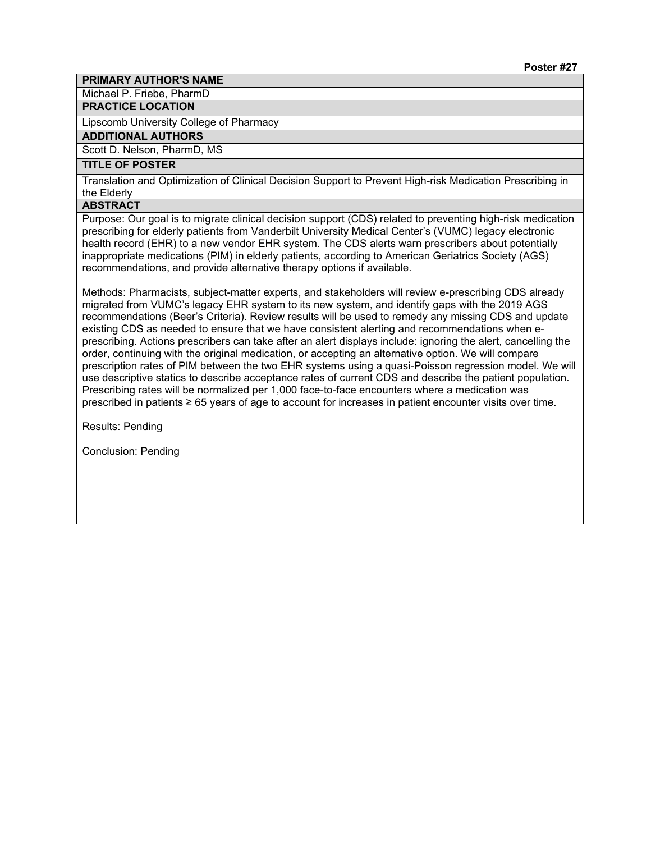Michael P. Friebe, PharmD

# **PRACTICE LOCATION**

Lipscomb University College of Pharmacy

# **ADDITIONAL AUTHORS**

Scott D. Nelson, PharmD, MS

# **TITLE OF POSTER**

Translation and Optimization of Clinical Decision Support to Prevent High-risk Medication Prescribing in the Elderly

#### **ABSTRACT**

Purpose: Our goal is to migrate clinical decision support (CDS) related to preventing high-risk medication prescribing for elderly patients from Vanderbilt University Medical Center's (VUMC) legacy electronic health record (EHR) to a new vendor EHR system. The CDS alerts warn prescribers about potentially inappropriate medications (PIM) in elderly patients, according to American Geriatrics Society (AGS) recommendations, and provide alternative therapy options if available.

Methods: Pharmacists, subject-matter experts, and stakeholders will review e-prescribing CDS already migrated from VUMC's legacy EHR system to its new system, and identify gaps with the 2019 AGS recommendations (Beer's Criteria). Review results will be used to remedy any missing CDS and update existing CDS as needed to ensure that we have consistent alerting and recommendations when eprescribing. Actions prescribers can take after an alert displays include: ignoring the alert, cancelling the order, continuing with the original medication, or accepting an alternative option. We will compare prescription rates of PIM between the two EHR systems using a quasi-Poisson regression model. We will use descriptive statics to describe acceptance rates of current CDS and describe the patient population. Prescribing rates will be normalized per 1,000 face-to-face encounters where a medication was prescribed in patients ≥ 65 years of age to account for increases in patient encounter visits over time.

Results: Pending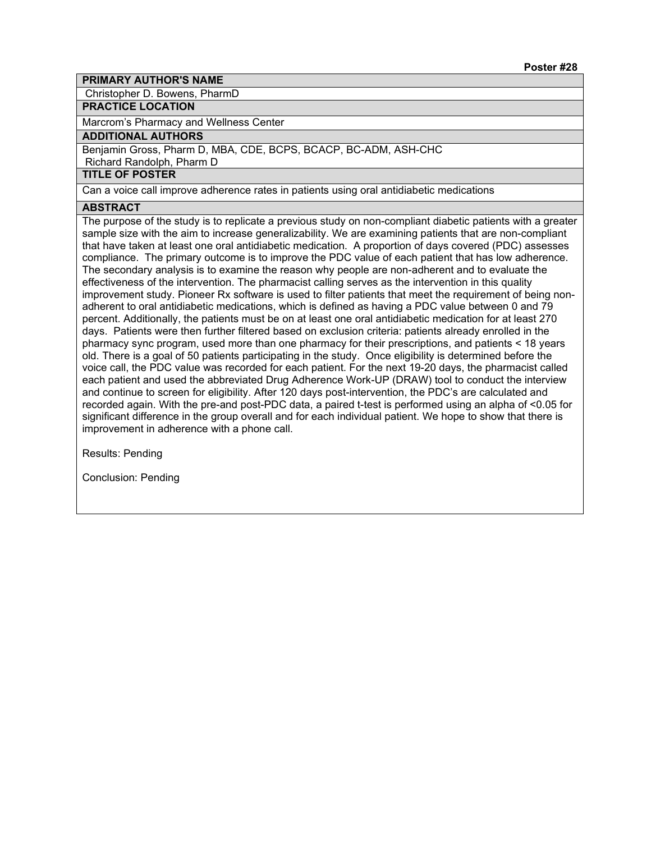Christopher D. Bowens, PharmD

### **PRACTICE LOCATION**

Marcrom's Pharmacy and Wellness Center

### **ADDITIONAL AUTHORS**

Benjamin Gross, Pharm D, MBA, CDE, BCPS, BCACP, BC-ADM, ASH-CHC

Richard Randolph, Pharm D

# **TITLE OF POSTER**

Can a voice call improve adherence rates in patients using oral antidiabetic medications

# **ABSTRACT**

The purpose of the study is to replicate a previous study on non-compliant diabetic patients with a greater sample size with the aim to increase generalizability. We are examining patients that are non-compliant that have taken at least one oral antidiabetic medication. A proportion of days covered (PDC) assesses compliance. The primary outcome is to improve the PDC value of each patient that has low adherence. The secondary analysis is to examine the reason why people are non-adherent and to evaluate the effectiveness of the intervention. The pharmacist calling serves as the intervention in this quality improvement study. Pioneer Rx software is used to filter patients that meet the requirement of being nonadherent to oral antidiabetic medications, which is defined as having a PDC value between 0 and 79 percent. Additionally, the patients must be on at least one oral antidiabetic medication for at least 270 days. Patients were then further filtered based on exclusion criteria: patients already enrolled in the pharmacy sync program, used more than one pharmacy for their prescriptions, and patients < 18 years old. There is a goal of 50 patients participating in the study. Once eligibility is determined before the voice call, the PDC value was recorded for each patient. For the next 19-20 days, the pharmacist called each patient and used the abbreviated Drug Adherence Work-UP (DRAW) tool to conduct the interview and continue to screen for eligibility. After 120 days post-intervention, the PDC's are calculated and recorded again. With the pre-and post-PDC data, a paired t-test is performed using an alpha of <0.05 for significant difference in the group overall and for each individual patient. We hope to show that there is improvement in adherence with a phone call.

Results: Pending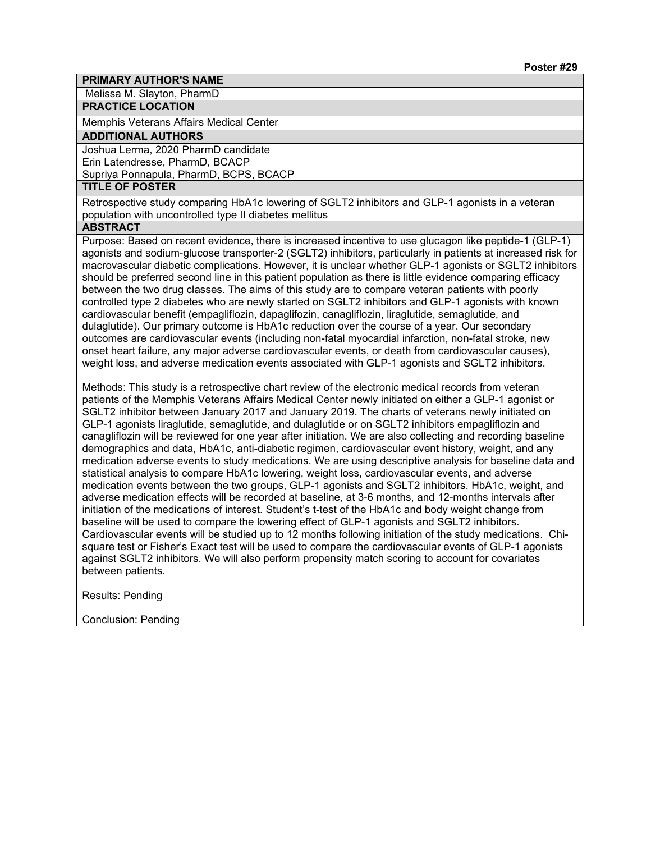Melissa M. Slayton, PharmD

# **PRACTICE LOCATION**

Memphis Veterans Affairs Medical Center

#### **ADDITIONAL AUTHORS**

Joshua Lerma, 2020 PharmD candidate Erin Latendresse, PharmD, BCACP Supriya Ponnapula, PharmD, BCPS, BCACP

# **TITLE OF POSTER**

Retrospective study comparing HbA1c lowering of SGLT2 inhibitors and GLP-1 agonists in a veteran population with uncontrolled type II diabetes mellitus

#### **ABSTRACT**

Purpose: Based on recent evidence, there is increased incentive to use glucagon like peptide-1 (GLP-1) agonists and sodium-glucose transporter-2 (SGLT2) inhibitors, particularly in patients at increased risk for macrovascular diabetic complications. However, it is unclear whether GLP-1 agonists or SGLT2 inhibitors should be preferred second line in this patient population as there is little evidence comparing efficacy between the two drug classes. The aims of this study are to compare veteran patients with poorly controlled type 2 diabetes who are newly started on SGLT2 inhibitors and GLP-1 agonists with known cardiovascular benefit (empagliflozin, dapaglifozin, canagliflozin, liraglutide, semaglutide, and dulaglutide). Our primary outcome is HbA1c reduction over the course of a year. Our secondary outcomes are cardiovascular events (including non-fatal myocardial infarction, non-fatal stroke, new onset heart failure, any major adverse cardiovascular events, or death from cardiovascular causes), weight loss, and adverse medication events associated with GLP-1 agonists and SGLT2 inhibitors.

Methods: This study is a retrospective chart review of the electronic medical records from veteran patients of the Memphis Veterans Affairs Medical Center newly initiated on either a GLP-1 agonist or SGLT2 inhibitor between January 2017 and January 2019. The charts of veterans newly initiated on GLP-1 agonists liraglutide, semaglutide, and dulaglutide or on SGLT2 inhibitors empagliflozin and canagliflozin will be reviewed for one year after initiation. We are also collecting and recording baseline demographics and data, HbA1c, anti-diabetic regimen, cardiovascular event history, weight, and any medication adverse events to study medications. We are using descriptive analysis for baseline data and statistical analysis to compare HbA1c lowering, weight loss, cardiovascular events, and adverse medication events between the two groups, GLP-1 agonists and SGLT2 inhibitors. HbA1c, weight, and adverse medication effects will be recorded at baseline, at 3-6 months, and 12-months intervals after initiation of the medications of interest. Student's t-test of the HbA1c and body weight change from baseline will be used to compare the lowering effect of GLP-1 agonists and SGLT2 inhibitors. Cardiovascular events will be studied up to 12 months following initiation of the study medications. Chisquare test or Fisher's Exact test will be used to compare the cardiovascular events of GLP-1 agonists against SGLT2 inhibitors. We will also perform propensity match scoring to account for covariates between patients.

Results: Pending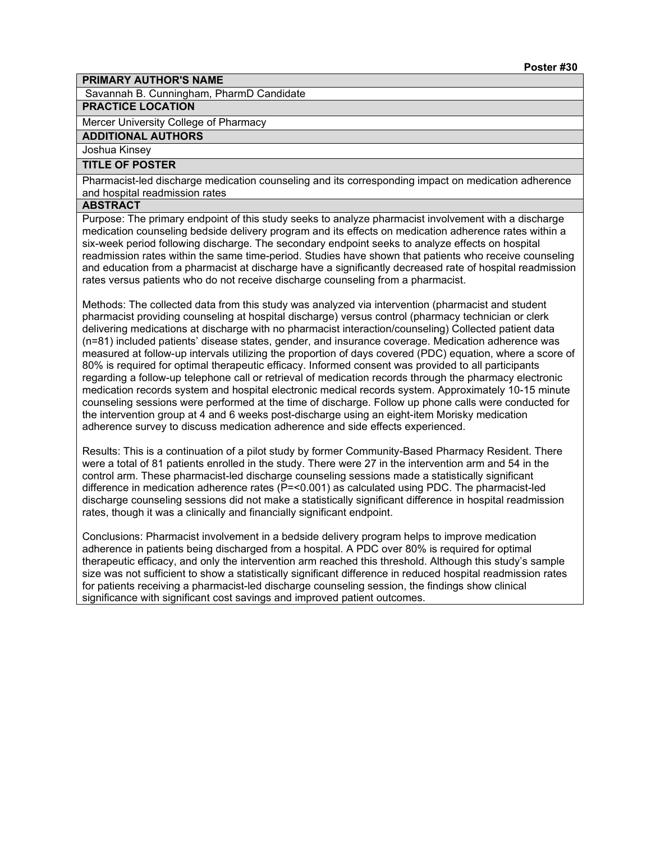Savannah B. Cunningham, PharmD Candidate

# **PRACTICE LOCATION**

Mercer University College of Pharmacy

**ADDITIONAL AUTHORS**

Joshua Kinsey

# **TITLE OF POSTER**

Pharmacist-led discharge medication counseling and its corresponding impact on medication adherence and hospital readmission rates

#### **ABSTRACT**

Purpose: The primary endpoint of this study seeks to analyze pharmacist involvement with a discharge medication counseling bedside delivery program and its effects on medication adherence rates within a six-week period following discharge. The secondary endpoint seeks to analyze effects on hospital readmission rates within the same time-period. Studies have shown that patients who receive counseling and education from a pharmacist at discharge have a significantly decreased rate of hospital readmission rates versus patients who do not receive discharge counseling from a pharmacist.

Methods: The collected data from this study was analyzed via intervention (pharmacist and student pharmacist providing counseling at hospital discharge) versus control (pharmacy technician or clerk delivering medications at discharge with no pharmacist interaction/counseling) Collected patient data (n=81) included patients' disease states, gender, and insurance coverage. Medication adherence was measured at follow-up intervals utilizing the proportion of days covered (PDC) equation, where a score of 80% is required for optimal therapeutic efficacy. Informed consent was provided to all participants regarding a follow-up telephone call or retrieval of medication records through the pharmacy electronic medication records system and hospital electronic medical records system. Approximately 10-15 minute counseling sessions were performed at the time of discharge. Follow up phone calls were conducted for the intervention group at 4 and 6 weeks post-discharge using an eight-item Morisky medication adherence survey to discuss medication adherence and side effects experienced.

Results: This is a continuation of a pilot study by former Community-Based Pharmacy Resident. There were a total of 81 patients enrolled in the study. There were 27 in the intervention arm and 54 in the control arm. These pharmacist-led discharge counseling sessions made a statistically significant difference in medication adherence rates (P=<0.001) as calculated using PDC. The pharmacist-led discharge counseling sessions did not make a statistically significant difference in hospital readmission rates, though it was a clinically and financially significant endpoint.

Conclusions: Pharmacist involvement in a bedside delivery program helps to improve medication adherence in patients being discharged from a hospital. A PDC over 80% is required for optimal therapeutic efficacy, and only the intervention arm reached this threshold. Although this study's sample size was not sufficient to show a statistically significant difference in reduced hospital readmission rates for patients receiving a pharmacist-led discharge counseling session, the findings show clinical significance with significant cost savings and improved patient outcomes.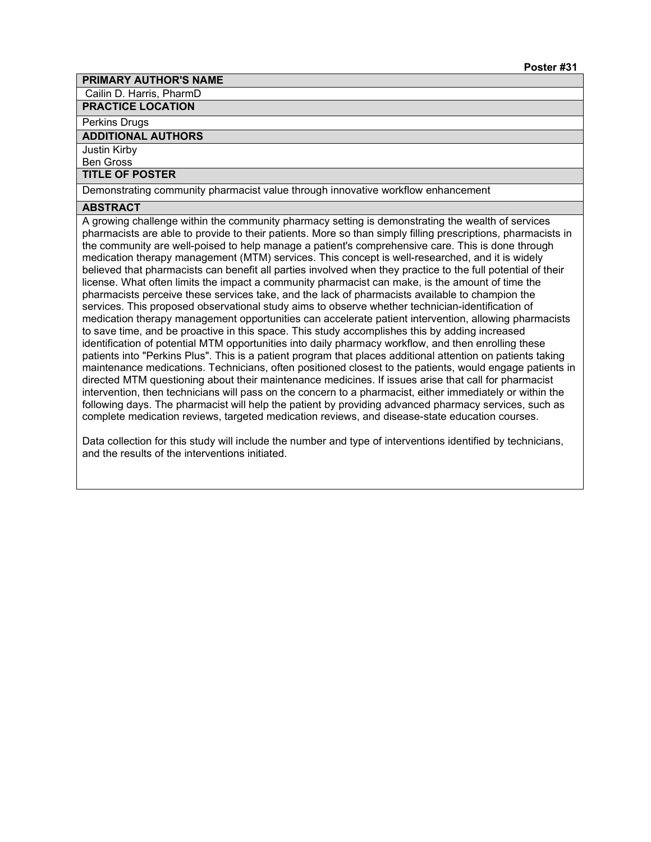Cailin D. Harris, PharmD

**PRACTICE LOCATION**

#### Perkins Drugs

#### **ADDITIONAL AUTHORS**

Justin Kirby

Ben Gross

# **TITLE OF POSTER**

Demonstrating community pharmacist value through innovative workflow enhancement

# **ABSTRACT**

A growing challenge within the community pharmacy setting is demonstrating the wealth of services pharmacists are able to provide to their patients. More so than simply filling prescriptions, pharmacists in the community are well-poised to help manage a patient's comprehensive care. This is done through medication therapy management (MTM) services. This concept is well-researched, and it is widely believed that pharmacists can benefit all parties involved when they practice to the full potential of their license. What often limits the impact a community pharmacist can make, is the amount of time the pharmacists perceive these services take, and the lack of pharmacists available to champion the services. This proposed observational study aims to observe whether technician-identification of medication therapy management opportunities can accelerate patient intervention, allowing pharmacists to save time, and be proactive in this space. This study accomplishes this by adding increased identification of potential MTM opportunities into daily pharmacy workflow, and then enrolling these patients into "Perkins Plus". This is a patient program that places additional attention on patients taking maintenance medications. Technicians, often positioned closest to the patients, would engage patients in directed MTM questioning about their maintenance medicines. If issues arise that call for pharmacist intervention, then technicians will pass on the concern to a pharmacist, either immediately or within the following days. The pharmacist will help the patient by providing advanced pharmacy services, such as complete medication reviews, targeted medication reviews, and disease-state education courses.

Data collection for this study will include the number and type of interventions identified by technicians, and the results of the interventions initiated.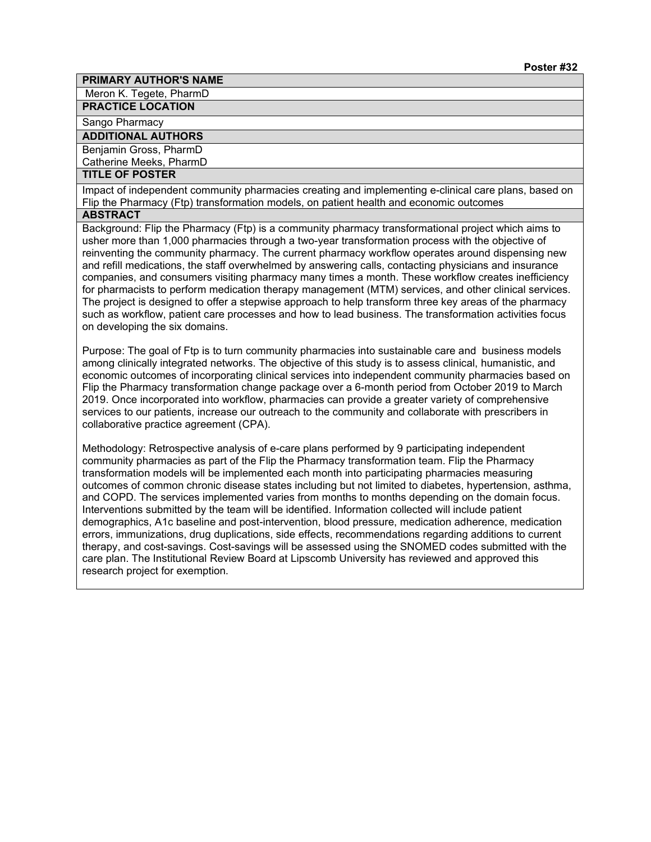Meron K. Tegete, PharmD

#### **PRACTICE LOCATION**

Sango Pharmacy

#### **ADDITIONAL AUTHORS**

Benjamin Gross, PharmD

Catherine Meeks, PharmD

# **TITLE OF POSTER**

Impact of independent community pharmacies creating and implementing e-clinical care plans, based on Flip the Pharmacy (Ftp) transformation models, on patient health and economic outcomes

# **ABSTRACT**

Background: Flip the Pharmacy (Ftp) is a community pharmacy transformational project which aims to usher more than 1,000 pharmacies through a two-year transformation process with the objective of reinventing the community pharmacy. The current pharmacy workflow operates around dispensing new and refill medications, the staff overwhelmed by answering calls, contacting physicians and insurance companies, and consumers visiting pharmacy many times a month. These workflow creates inefficiency for pharmacists to perform medication therapy management (MTM) services, and other clinical services. The project is designed to offer a stepwise approach to help transform three key areas of the pharmacy such as workflow, patient care processes and how to lead business. The transformation activities focus on developing the six domains.

Purpose: The goal of Ftp is to turn community pharmacies into sustainable care and business models among clinically integrated networks. The objective of this study is to assess clinical, humanistic, and economic outcomes of incorporating clinical services into independent community pharmacies based on Flip the Pharmacy transformation change package over a 6-month period from October 2019 to March 2019. Once incorporated into workflow, pharmacies can provide a greater variety of comprehensive services to our patients, increase our outreach to the community and collaborate with prescribers in collaborative practice agreement (CPA).

Methodology: Retrospective analysis of e-care plans performed by 9 participating independent community pharmacies as part of the Flip the Pharmacy transformation team. Flip the Pharmacy transformation models will be implemented each month into participating pharmacies measuring outcomes of common chronic disease states including but not limited to diabetes, hypertension, asthma, and COPD. The services implemented varies from months to months depending on the domain focus. Interventions submitted by the team will be identified. Information collected will include patient demographics, A1c baseline and post-intervention, blood pressure, medication adherence, medication errors, immunizations, drug duplications, side effects, recommendations regarding additions to current therapy, and cost-savings. Cost-savings will be assessed using the SNOMED codes submitted with the care plan. The Institutional Review Board at Lipscomb University has reviewed and approved this research project for exemption.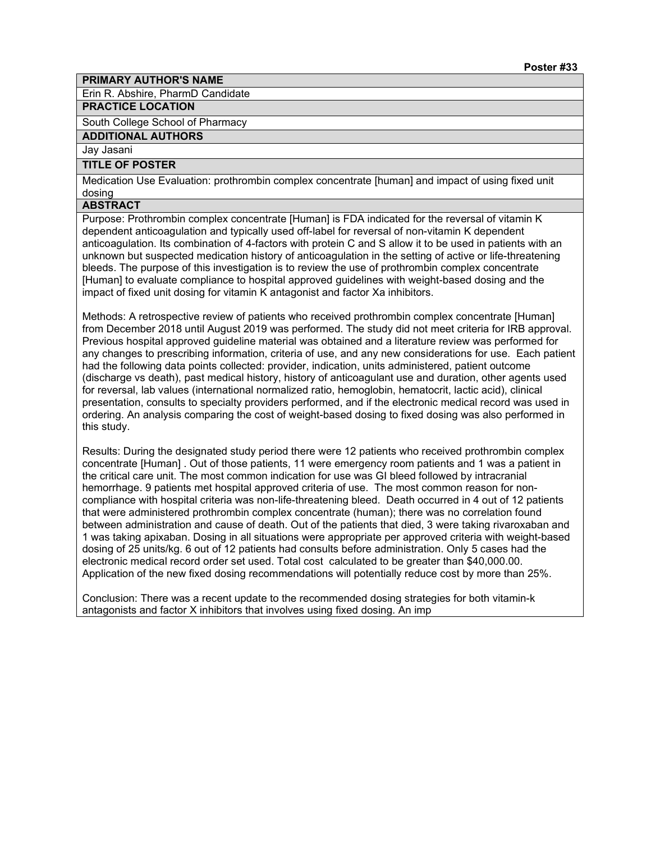Erin R. Abshire, PharmD Candidate

# **PRACTICE LOCATION**

South College School of Pharmacy

**ADDITIONAL AUTHORS**

Jay Jasani

# **TITLE OF POSTER**

Medication Use Evaluation: prothrombin complex concentrate [human] and impact of using fixed unit dosing

#### **ABSTRACT**

Purpose: Prothrombin complex concentrate [Human] is FDA indicated for the reversal of vitamin K dependent anticoagulation and typically used off-label for reversal of non-vitamin K dependent anticoagulation. Its combination of 4-factors with protein C and S allow it to be used in patients with an unknown but suspected medication history of anticoagulation in the setting of active or life-threatening bleeds. The purpose of this investigation is to review the use of prothrombin complex concentrate [Human] to evaluate compliance to hospital approved guidelines with weight-based dosing and the impact of fixed unit dosing for vitamin K antagonist and factor Xa inhibitors.

Methods: A retrospective review of patients who received prothrombin complex concentrate [Human] from December 2018 until August 2019 was performed. The study did not meet criteria for IRB approval. Previous hospital approved guideline material was obtained and a literature review was performed for any changes to prescribing information, criteria of use, and any new considerations for use. Each patient had the following data points collected: provider, indication, units administered, patient outcome (discharge vs death), past medical history, history of anticoagulant use and duration, other agents used for reversal, lab values (international normalized ratio, hemoglobin, hematocrit, lactic acid), clinical presentation, consults to specialty providers performed, and if the electronic medical record was used in ordering. An analysis comparing the cost of weight-based dosing to fixed dosing was also performed in this study.

Results: During the designated study period there were 12 patients who received prothrombin complex concentrate [Human] . Out of those patients, 11 were emergency room patients and 1 was a patient in the critical care unit. The most common indication for use was GI bleed followed by intracranial hemorrhage. 9 patients met hospital approved criteria of use. The most common reason for noncompliance with hospital criteria was non-life-threatening bleed. Death occurred in 4 out of 12 patients that were administered prothrombin complex concentrate (human); there was no correlation found between administration and cause of death. Out of the patients that died, 3 were taking rivaroxaban and 1 was taking apixaban. Dosing in all situations were appropriate per approved criteria with weight-based dosing of 25 units/kg. 6 out of 12 patients had consults before administration. Only 5 cases had the electronic medical record order set used. Total cost calculated to be greater than \$40,000.00. Application of the new fixed dosing recommendations will potentially reduce cost by more than 25%.

Conclusion: There was a recent update to the recommended dosing strategies for both vitamin-k antagonists and factor X inhibitors that involves using fixed dosing. An imp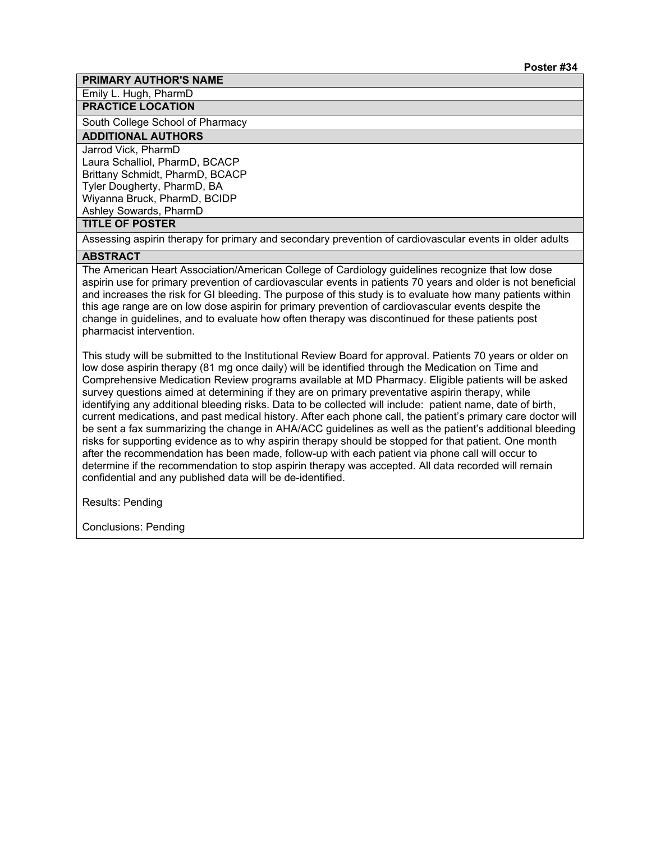Emily L. Hugh, PharmD

**PRACTICE LOCATION**

South College School of Pharmacy

# **ADDITIONAL AUTHORS**

Jarrod Vick, PharmD Laura Schalliol, PharmD, BCACP Brittany Schmidt, PharmD, BCACP Tyler Dougherty, PharmD, BA Wiyanna Bruck, PharmD, BCIDP Ashley Sowards, PharmD

#### **TITLE OF POSTER**

Assessing aspirin therapy for primary and secondary prevention of cardiovascular events in older adults

#### **ABSTRACT**

The American Heart Association/American College of Cardiology guidelines recognize that low dose aspirin use for primary prevention of cardiovascular events in patients 70 years and older is not beneficial and increases the risk for GI bleeding. The purpose of this study is to evaluate how many patients within this age range are on low dose aspirin for primary prevention of cardiovascular events despite the change in guidelines, and to evaluate how often therapy was discontinued for these patients post pharmacist intervention.

This study will be submitted to the Institutional Review Board for approval. Patients 70 years or older on low dose aspirin therapy (81 mg once daily) will be identified through the Medication on Time and Comprehensive Medication Review programs available at MD Pharmacy. Eligible patients will be asked survey questions aimed at determining if they are on primary preventative aspirin therapy, while identifying any additional bleeding risks. Data to be collected will include: patient name, date of birth, current medications, and past medical history. After each phone call, the patient's primary care doctor will be sent a fax summarizing the change in AHA/ACC guidelines as well as the patient's additional bleeding risks for supporting evidence as to why aspirin therapy should be stopped for that patient. One month after the recommendation has been made, follow-up with each patient via phone call will occur to determine if the recommendation to stop aspirin therapy was accepted. All data recorded will remain confidential and any published data will be de-identified.

Results: Pending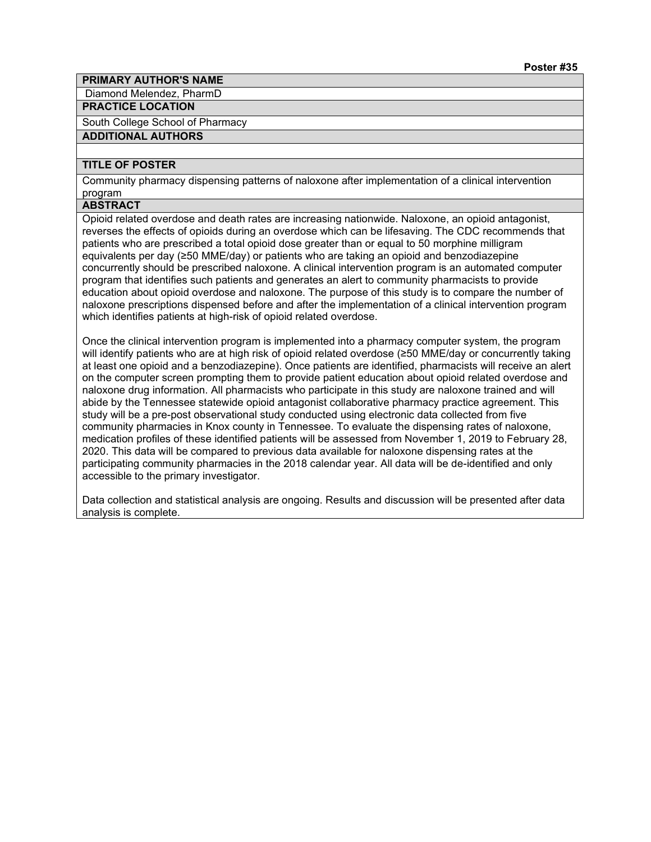Diamond Melendez, PharmD

# **PRACTICE LOCATION**

South College School of Pharmacy

#### **ADDITIONAL AUTHORS**

# **TITLE OF POSTER**

Community pharmacy dispensing patterns of naloxone after implementation of a clinical intervention program

#### **ABSTRACT**

Opioid related overdose and death rates are increasing nationwide. Naloxone, an opioid antagonist, reverses the effects of opioids during an overdose which can be lifesaving. The CDC recommends that patients who are prescribed a total opioid dose greater than or equal to 50 morphine milligram equivalents per day (≥50 MME/day) or patients who are taking an opioid and benzodiazepine concurrently should be prescribed naloxone. A clinical intervention program is an automated computer program that identifies such patients and generates an alert to community pharmacists to provide education about opioid overdose and naloxone. The purpose of this study is to compare the number of naloxone prescriptions dispensed before and after the implementation of a clinical intervention program which identifies patients at high-risk of opioid related overdose.

Once the clinical intervention program is implemented into a pharmacy computer system, the program will identify patients who are at high risk of opioid related overdose (≥50 MME/day or concurrently taking at least one opioid and a benzodiazepine). Once patients are identified, pharmacists will receive an alert on the computer screen prompting them to provide patient education about opioid related overdose and naloxone drug information. All pharmacists who participate in this study are naloxone trained and will abide by the Tennessee statewide opioid antagonist collaborative pharmacy practice agreement. This study will be a pre-post observational study conducted using electronic data collected from five community pharmacies in Knox county in Tennessee. To evaluate the dispensing rates of naloxone, medication profiles of these identified patients will be assessed from November 1, 2019 to February 28, 2020. This data will be compared to previous data available for naloxone dispensing rates at the participating community pharmacies in the 2018 calendar year. All data will be de-identified and only accessible to the primary investigator.

Data collection and statistical analysis are ongoing. Results and discussion will be presented after data analysis is complete.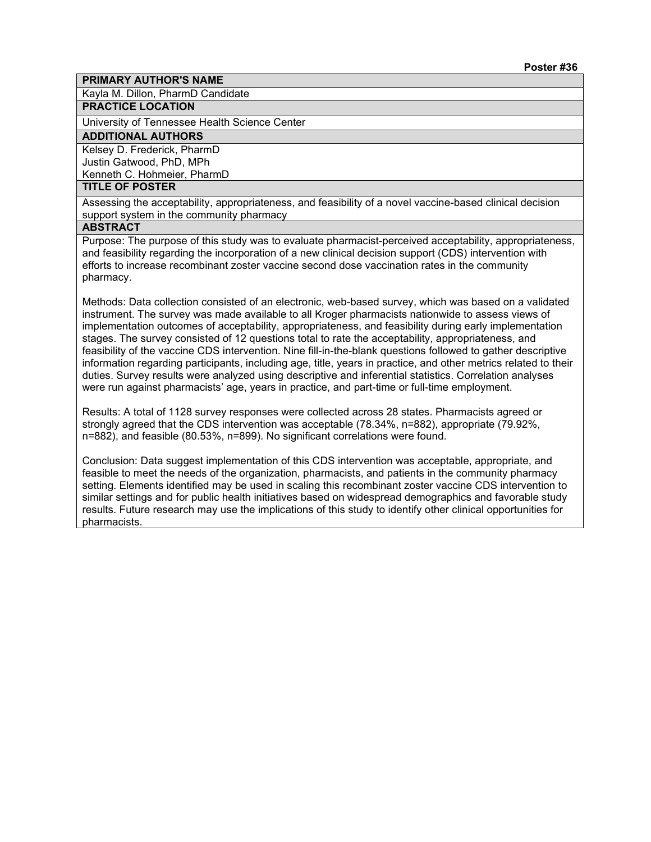Kayla M. Dillon, PharmD Candidate

# **PRACTICE LOCATION**

University of Tennessee Health Science Center

# **ADDITIONAL AUTHORS**

Kelsey D. Frederick, PharmD Justin Gatwood, PhD, MPh Kenneth C. Hohmeier, PharmD

# **TITLE OF POSTER**

Assessing the acceptability, appropriateness, and feasibility of a novel vaccine-based clinical decision support system in the community pharmacy

#### **ABSTRACT**

Purpose: The purpose of this study was to evaluate pharmacist-perceived acceptability, appropriateness, and feasibility regarding the incorporation of a new clinical decision support (CDS) intervention with efforts to increase recombinant zoster vaccine second dose vaccination rates in the community pharmacy.

Methods: Data collection consisted of an electronic, web-based survey, which was based on a validated instrument. The survey was made available to all Kroger pharmacists nationwide to assess views of implementation outcomes of acceptability, appropriateness, and feasibility during early implementation stages. The survey consisted of 12 questions total to rate the acceptability, appropriateness, and feasibility of the vaccine CDS intervention. Nine fill-in-the-blank questions followed to gather descriptive information regarding participants, including age, title, years in practice, and other metrics related to their duties. Survey results were analyzed using descriptive and inferential statistics. Correlation analyses were run against pharmacists' age, years in practice, and part-time or full-time employment.

Results: A total of 1128 survey responses were collected across 28 states. Pharmacists agreed or strongly agreed that the CDS intervention was acceptable (78.34%, n=882), appropriate (79.92%, n=882), and feasible (80.53%, n=899). No significant correlations were found.

Conclusion: Data suggest implementation of this CDS intervention was acceptable, appropriate, and feasible to meet the needs of the organization, pharmacists, and patients in the community pharmacy setting. Elements identified may be used in scaling this recombinant zoster vaccine CDS intervention to similar settings and for public health initiatives based on widespread demographics and favorable study results. Future research may use the implications of this study to identify other clinical opportunities for pharmacists.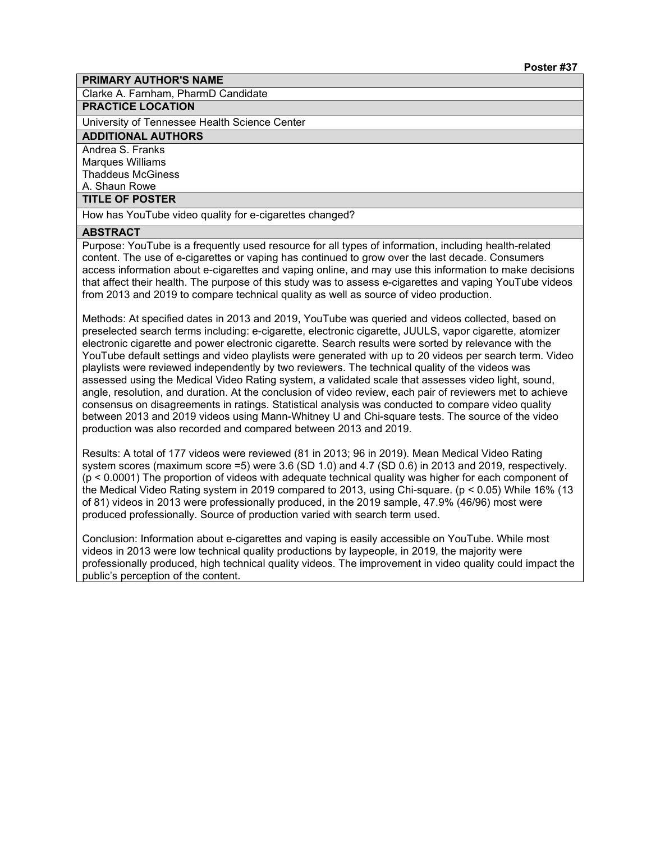Clarke A. Farnham, PharmD Candidate

# **PRACTICE LOCATION**

University of Tennessee Health Science Center

# **ADDITIONAL AUTHORS**

Andrea S. Franks Marques Williams

#### Thaddeus McGiness

# A. Shaun Rowe

#### **TITLE OF POSTER**

How has YouTube video quality for e-cigarettes changed?

#### **ABSTRACT**

Purpose: YouTube is a frequently used resource for all types of information, including health-related content. The use of e-cigarettes or vaping has continued to grow over the last decade. Consumers access information about e-cigarettes and vaping online, and may use this information to make decisions that affect their health. The purpose of this study was to assess e-cigarettes and vaping YouTube videos from 2013 and 2019 to compare technical quality as well as source of video production.

Methods: At specified dates in 2013 and 2019, YouTube was queried and videos collected, based on preselected search terms including: e-cigarette, electronic cigarette, JUULS, vapor cigarette, atomizer electronic cigarette and power electronic cigarette. Search results were sorted by relevance with the YouTube default settings and video playlists were generated with up to 20 videos per search term. Video playlists were reviewed independently by two reviewers. The technical quality of the videos was assessed using the Medical Video Rating system, a validated scale that assesses video light, sound, angle, resolution, and duration. At the conclusion of video review, each pair of reviewers met to achieve consensus on disagreements in ratings. Statistical analysis was conducted to compare video quality between 2013 and 2019 videos using Mann-Whitney U and Chi-square tests. The source of the video production was also recorded and compared between 2013 and 2019.

Results: A total of 177 videos were reviewed (81 in 2013; 96 in 2019). Mean Medical Video Rating system scores (maximum score =5) were 3.6 (SD 1.0) and 4.7 (SD 0.6) in 2013 and 2019, respectively. (p < 0.0001) The proportion of videos with adequate technical quality was higher for each component of the Medical Video Rating system in 2019 compared to 2013, using Chi-square. (p < 0.05) While 16% (13 of 81) videos in 2013 were professionally produced, in the 2019 sample, 47.9% (46/96) most were produced professionally. Source of production varied with search term used.

Conclusion: Information about e-cigarettes and vaping is easily accessible on YouTube. While most videos in 2013 were low technical quality productions by laypeople, in 2019, the majority were professionally produced, high technical quality videos. The improvement in video quality could impact the public's perception of the content.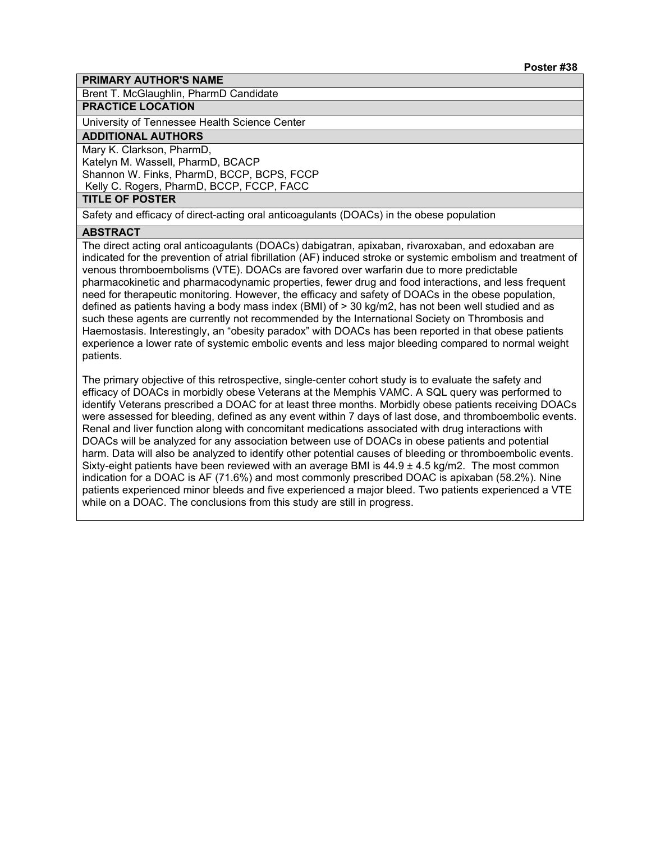Brent T. McGlaughlin, PharmD Candidate

#### **PRACTICE LOCATION**

University of Tennessee Health Science Center

# **ADDITIONAL AUTHORS**

Mary K. Clarkson, PharmD, Katelyn M. Wassell, PharmD, BCACP Shannon W. Finks, PharmD, BCCP, BCPS, FCCP Kelly C. Rogers, PharmD, BCCP, FCCP, FACC

#### **TITLE OF POSTER**

Safety and efficacy of direct-acting oral anticoagulants (DOACs) in the obese population

#### **ABSTRACT**

The direct acting oral anticoagulants (DOACs) dabigatran, apixaban, rivaroxaban, and edoxaban are indicated for the prevention of atrial fibrillation (AF) induced stroke or systemic embolism and treatment of venous thromboembolisms (VTE). DOACs are favored over warfarin due to more predictable pharmacokinetic and pharmacodynamic properties, fewer drug and food interactions, and less frequent need for therapeutic monitoring. However, the efficacy and safety of DOACs in the obese population, defined as patients having a body mass index (BMI) of > 30 kg/m2, has not been well studied and as such these agents are currently not recommended by the International Society on Thrombosis and Haemostasis. Interestingly, an "obesity paradox" with DOACs has been reported in that obese patients experience a lower rate of systemic embolic events and less major bleeding compared to normal weight patients.

The primary objective of this retrospective, single-center cohort study is to evaluate the safety and efficacy of DOACs in morbidly obese Veterans at the Memphis VAMC. A SQL query was performed to identify Veterans prescribed a DOAC for at least three months. Morbidly obese patients receiving DOACs were assessed for bleeding, defined as any event within 7 days of last dose, and thromboembolic events. Renal and liver function along with concomitant medications associated with drug interactions with DOACs will be analyzed for any association between use of DOACs in obese patients and potential harm. Data will also be analyzed to identify other potential causes of bleeding or thromboembolic events. Sixty-eight patients have been reviewed with an average BMI is  $44.9 \pm 4.5$  kg/m2. The most common indication for a DOAC is AF (71.6%) and most commonly prescribed DOAC is apixaban (58.2%). Nine patients experienced minor bleeds and five experienced a major bleed. Two patients experienced a VTE while on a DOAC. The conclusions from this study are still in progress.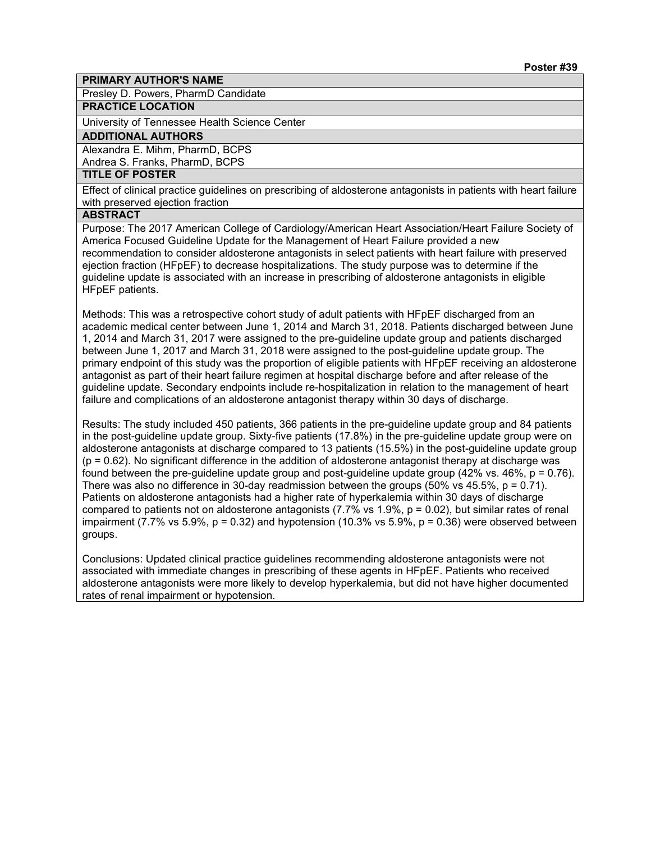Presley D. Powers, PharmD Candidate

# **PRACTICE LOCATION**

University of Tennessee Health Science Center

#### **ADDITIONAL AUTHORS**

Alexandra E. Mihm, PharmD, BCPS

Andrea S. Franks, PharmD, BCPS

# **TITLE OF POSTER**

Effect of clinical practice guidelines on prescribing of aldosterone antagonists in patients with heart failure with preserved ejection fraction

# **ABSTRACT**

Purpose: The 2017 American College of Cardiology/American Heart Association/Heart Failure Society of America Focused Guideline Update for the Management of Heart Failure provided a new recommendation to consider aldosterone antagonists in select patients with heart failure with preserved ejection fraction (HFpEF) to decrease hospitalizations. The study purpose was to determine if the guideline update is associated with an increase in prescribing of aldosterone antagonists in eligible HFpEF patients.

Methods: This was a retrospective cohort study of adult patients with HFpEF discharged from an academic medical center between June 1, 2014 and March 31, 2018. Patients discharged between June 1, 2014 and March 31, 2017 were assigned to the pre-guideline update group and patients discharged between June 1, 2017 and March 31, 2018 were assigned to the post-guideline update group. The primary endpoint of this study was the proportion of eligible patients with HFpEF receiving an aldosterone antagonist as part of their heart failure regimen at hospital discharge before and after release of the guideline update. Secondary endpoints include re-hospitalization in relation to the management of heart failure and complications of an aldosterone antagonist therapy within 30 days of discharge.

Results: The study included 450 patients, 366 patients in the pre-guideline update group and 84 patients in the post-guideline update group. Sixty-five patients (17.8%) in the pre-guideline update group were on aldosterone antagonists at discharge compared to 13 patients (15.5%) in the post-guideline update group  $(p = 0.62)$ . No significant difference in the addition of aldosterone antagonist therapy at discharge was found between the pre-guideline update group and post-guideline update group (42% vs. 46%, p = 0.76). There was also no difference in 30-day readmission between the groups (50% vs 45.5%,  $p = 0.71$ ). Patients on aldosterone antagonists had a higher rate of hyperkalemia within 30 days of discharge compared to patients not on aldosterone antagonists  $(7.7\% \text{ vs } 1.9\%, p = 0.02)$ , but similar rates of renal impairment (7.7% vs 5.9%,  $p = 0.32$ ) and hypotension (10.3% vs 5.9%,  $p = 0.36$ ) were observed between groups.

Conclusions: Updated clinical practice guidelines recommending aldosterone antagonists were not associated with immediate changes in prescribing of these agents in HFpEF. Patients who received aldosterone antagonists were more likely to develop hyperkalemia, but did not have higher documented rates of renal impairment or hypotension.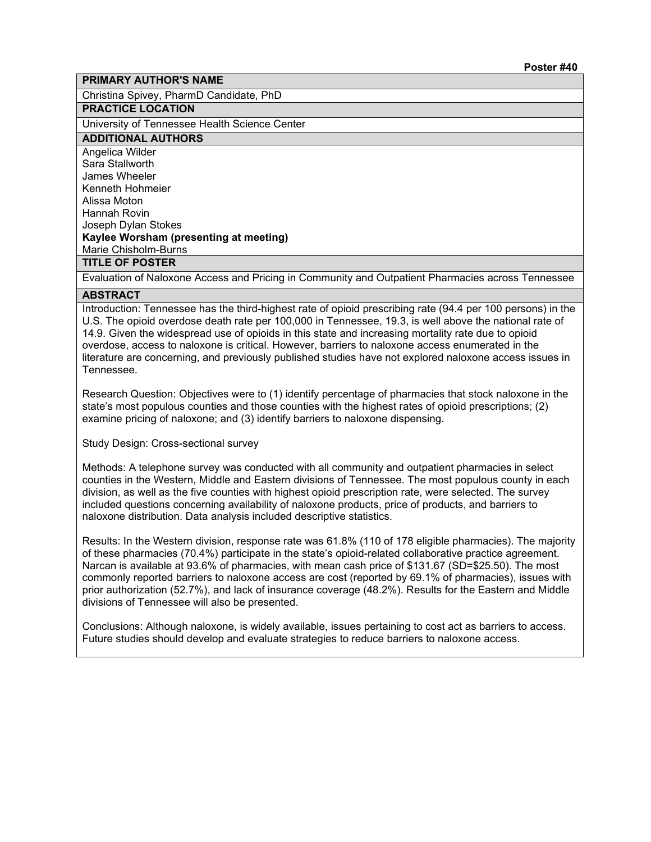Christina Spivey, PharmD Candidate, PhD

# **PRACTICE LOCATION**

University of Tennessee Health Science Center

#### **ADDITIONAL AUTHORS**

Angelica Wilder Sara Stallworth James Wheeler Kenneth Hohmeier Alissa Moton Hannah Rovin Joseph Dylan Stokes **Kaylee Worsham (presenting at meeting)** Marie Chisholm-Burns **TITLE OF POSTER**

Evaluation of Naloxone Access and Pricing in Community and Outpatient Pharmacies across Tennessee

#### **ABSTRACT**

Introduction: Tennessee has the third-highest rate of opioid prescribing rate (94.4 per 100 persons) in the U.S. The opioid overdose death rate per 100,000 in Tennessee, 19.3, is well above the national rate of 14.9. Given the widespread use of opioids in this state and increasing mortality rate due to opioid overdose, access to naloxone is critical. However, barriers to naloxone access enumerated in the literature are concerning, and previously published studies have not explored naloxone access issues in Tennessee.

Research Question: Objectives were to (1) identify percentage of pharmacies that stock naloxone in the state's most populous counties and those counties with the highest rates of opioid prescriptions; (2) examine pricing of naloxone; and (3) identify barriers to naloxone dispensing.

Study Design: Cross-sectional survey

Methods: A telephone survey was conducted with all community and outpatient pharmacies in select counties in the Western, Middle and Eastern divisions of Tennessee. The most populous county in each division, as well as the five counties with highest opioid prescription rate, were selected. The survey included questions concerning availability of naloxone products, price of products, and barriers to naloxone distribution. Data analysis included descriptive statistics.

Results: In the Western division, response rate was 61.8% (110 of 178 eligible pharmacies). The majority of these pharmacies (70.4%) participate in the state's opioid-related collaborative practice agreement. Narcan is available at 93.6% of pharmacies, with mean cash price of \$131.67 (SD=\$25.50). The most commonly reported barriers to naloxone access are cost (reported by 69.1% of pharmacies), issues with prior authorization (52.7%), and lack of insurance coverage (48.2%). Results for the Eastern and Middle divisions of Tennessee will also be presented.

Conclusions: Although naloxone, is widely available, issues pertaining to cost act as barriers to access. Future studies should develop and evaluate strategies to reduce barriers to naloxone access.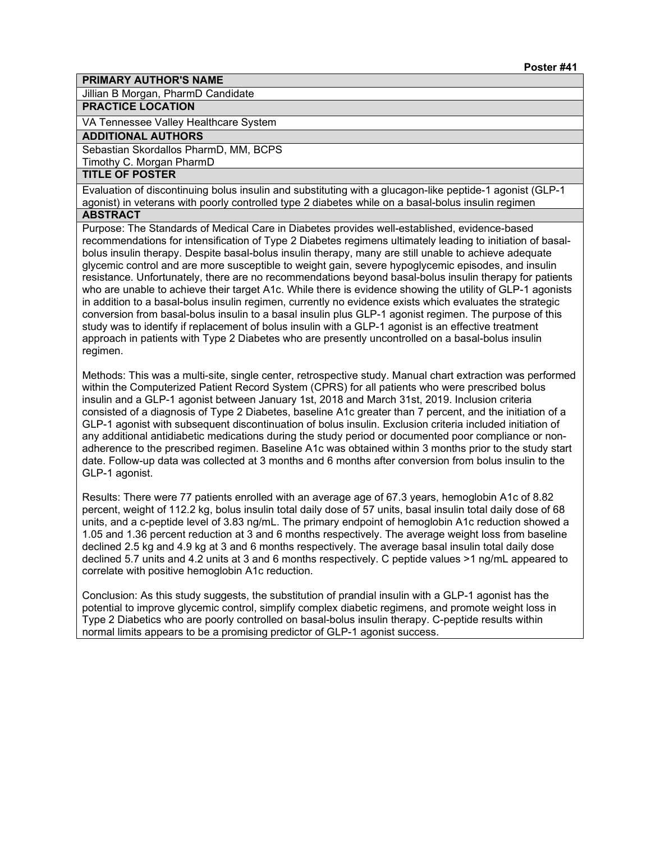Jillian B Morgan, PharmD Candidate

# **PRACTICE LOCATION**

VA Tennessee Valley Healthcare System

#### **ADDITIONAL AUTHORS**

Sebastian Skordallos PharmD, MM, BCPS

Timothy C. Morgan PharmD

# **TITLE OF POSTER**

Evaluation of discontinuing bolus insulin and substituting with a glucagon-like peptide-1 agonist (GLP-1 agonist) in veterans with poorly controlled type 2 diabetes while on a basal-bolus insulin regimen

### **ABSTRACT**

Purpose: The Standards of Medical Care in Diabetes provides well-established, evidence-based recommendations for intensification of Type 2 Diabetes regimens ultimately leading to initiation of basalbolus insulin therapy. Despite basal-bolus insulin therapy, many are still unable to achieve adequate glycemic control and are more susceptible to weight gain, severe hypoglycemic episodes, and insulin resistance. Unfortunately, there are no recommendations beyond basal-bolus insulin therapy for patients who are unable to achieve their target A1c. While there is evidence showing the utility of GLP-1 agonists in addition to a basal-bolus insulin regimen, currently no evidence exists which evaluates the strategic conversion from basal-bolus insulin to a basal insulin plus GLP-1 agonist regimen. The purpose of this study was to identify if replacement of bolus insulin with a GLP-1 agonist is an effective treatment approach in patients with Type 2 Diabetes who are presently uncontrolled on a basal-bolus insulin regimen.

Methods: This was a multi-site, single center, retrospective study. Manual chart extraction was performed within the Computerized Patient Record System (CPRS) for all patients who were prescribed bolus insulin and a GLP-1 agonist between January 1st, 2018 and March 31st, 2019. Inclusion criteria consisted of a diagnosis of Type 2 Diabetes, baseline A1c greater than 7 percent, and the initiation of a GLP-1 agonist with subsequent discontinuation of bolus insulin. Exclusion criteria included initiation of any additional antidiabetic medications during the study period or documented poor compliance or nonadherence to the prescribed regimen. Baseline A1c was obtained within 3 months prior to the study start date. Follow-up data was collected at 3 months and 6 months after conversion from bolus insulin to the GLP-1 agonist.

Results: There were 77 patients enrolled with an average age of 67.3 years, hemoglobin A1c of 8.82 percent, weight of 112.2 kg, bolus insulin total daily dose of 57 units, basal insulin total daily dose of 68 units, and a c-peptide level of 3.83 ng/mL. The primary endpoint of hemoglobin A1c reduction showed a 1.05 and 1.36 percent reduction at 3 and 6 months respectively. The average weight loss from baseline declined 2.5 kg and 4.9 kg at 3 and 6 months respectively. The average basal insulin total daily dose declined 5.7 units and 4.2 units at 3 and 6 months respectively. C peptide values >1 ng/mL appeared to correlate with positive hemoglobin A1c reduction.

Conclusion: As this study suggests, the substitution of prandial insulin with a GLP-1 agonist has the potential to improve glycemic control, simplify complex diabetic regimens, and promote weight loss in Type 2 Diabetics who are poorly controlled on basal-bolus insulin therapy. C-peptide results within normal limits appears to be a promising predictor of GLP-1 agonist success.